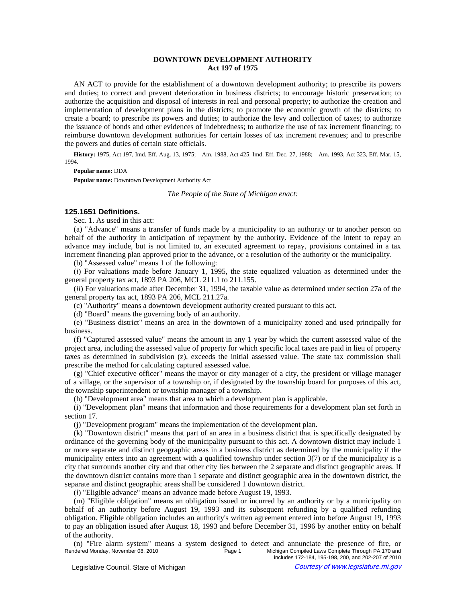# **DOWNTOWN DEVELOPMENT AUTHORITY Act 197 of 1975**

AN ACT to provide for the establishment of a downtown development authority; to prescribe its powers and duties; to correct and prevent deterioration in business districts; to encourage historic preservation; to authorize the acquisition and disposal of interests in real and personal property; to authorize the creation and implementation of development plans in the districts; to promote the economic growth of the districts; to create a board; to prescribe its powers and duties; to authorize the levy and collection of taxes; to authorize the issuance of bonds and other evidences of indebtedness; to authorize the use of tax increment financing; to reimburse downtown development authorities for certain losses of tax increment revenues; and to prescribe the powers and duties of certain state officials.

History: 1975, Act 197, Imd. Eff. Aug. 13, 1975;-Am. 1988, Act 425, Imd. Eff. Dec. 27, 1988;-Am. 1993, Act 323, Eff. Mar. 15, 1994.

**Popular name:** DDA

**Popular name:** Downtown Development Authority Act

*The People of the State of Michigan enact:*

## **125.1651 Definitions.**

Sec. 1. As used in this act:

(a) "Advance" means a transfer of funds made by a municipality to an authority or to another person on behalf of the authority in anticipation of repayment by the authority. Evidence of the intent to repay an advance may include, but is not limited to, an executed agreement to repay, provisions contained in a tax increment financing plan approved prior to the advance, or a resolution of the authority or the municipality.

(b) "Assessed value" means 1 of the following:

(*i*) For valuations made before January 1, 1995, the state equalized valuation as determined under the general property tax act, 1893 PA 206, MCL 211.1 to 211.155.

(*ii*) For valuations made after December 31, 1994, the taxable value as determined under section 27a of the general property tax act, 1893 PA 206, MCL 211.27a.

(c) "Authority" means a downtown development authority created pursuant to this act.

(d) "Board" means the governing body of an authority.

(e) "Business district" means an area in the downtown of a municipality zoned and used principally for business.

(f) "Captured assessed value" means the amount in any 1 year by which the current assessed value of the project area, including the assessed value of property for which specific local taxes are paid in lieu of property taxes as determined in subdivision (z), exceeds the initial assessed value. The state tax commission shall prescribe the method for calculating captured assessed value.

(g) "Chief executive officer" means the mayor or city manager of a city, the president or village manager of a village, or the supervisor of a township or, if designated by the township board for purposes of this act, the township superintendent or township manager of a township.

(h) "Development area" means that area to which a development plan is applicable.

(i) "Development plan" means that information and those requirements for a development plan set forth in section 17.

(j) "Development program" means the implementation of the development plan.

(k) "Downtown district" means that part of an area in a business district that is specifically designated by ordinance of the governing body of the municipality pursuant to this act. A downtown district may include 1 or more separate and distinct geographic areas in a business district as determined by the municipality if the municipality enters into an agreement with a qualified township under section 3(7) or if the municipality is a city that surrounds another city and that other city lies between the 2 separate and distinct geographic areas. If the downtown district contains more than 1 separate and distinct geographic area in the downtown district, the separate and distinct geographic areas shall be considered 1 downtown district.

(*l*) "Eligible advance" means an advance made before August 19, 1993.

(m) "Eligible obligation" means an obligation issued or incurred by an authority or by a municipality on behalf of an authority before August 19, 1993 and its subsequent refunding by a qualified refunding obligation. Eligible obligation includes an authority's written agreement entered into before August 19, 1993 to pay an obligation issued after August 18, 1993 and before December 31, 1996 by another entity on behalf of the authority.

(n) "Fire alarm system" means a system designed to detect and annunciate the presence of fire, or<br>Page 1 Michigan Compiled Laws Complete Through PA 170 and Rendered Monday, November 08, 2010 **Page 1** Page 1 Michigan Compiled Laws Complete Through PA 170 and includes 172-184, 195-198, 200, and 202-207 of 2010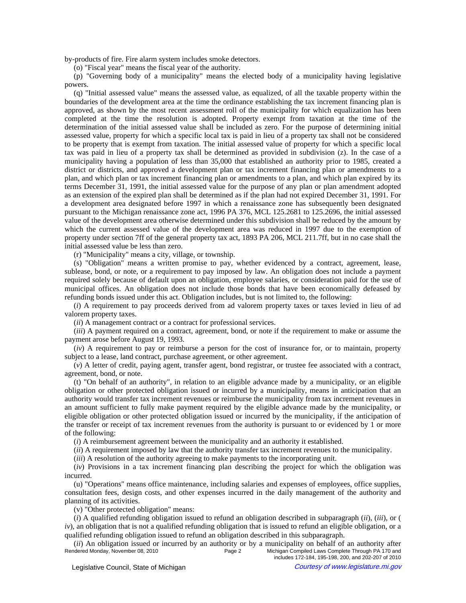by-products of fire. Fire alarm system includes smoke detectors.

(o) "Fiscal year" means the fiscal year of the authority.

(p) "Governing body of a municipality" means the elected body of a municipality having legislative powers.

(q) "Initial assessed value" means the assessed value, as equalized, of all the taxable property within the boundaries of the development area at the time the ordinance establishing the tax increment financing plan is approved, as shown by the most recent assessment roll of the municipality for which equalization has been completed at the time the resolution is adopted. Property exempt from taxation at the time of the determination of the initial assessed value shall be included as zero. For the purpose of determining initial assessed value, property for which a specific local tax is paid in lieu of a property tax shall not be considered to be property that is exempt from taxation. The initial assessed value of property for which a specific local tax was paid in lieu of a property tax shall be determined as provided in subdivision (z). In the case of a municipality having a population of less than 35,000 that established an authority prior to 1985, created a district or districts, and approved a development plan or tax increment financing plan or amendments to a plan, and which plan or tax increment financing plan or amendments to a plan, and which plan expired by its terms December 31, 1991, the initial assessed value for the purpose of any plan or plan amendment adopted as an extension of the expired plan shall be determined as if the plan had not expired December 31, 1991. For a development area designated before 1997 in which a renaissance zone has subsequently been designated pursuant to the Michigan renaissance zone act, 1996 PA 376, MCL 125.2681 to 125.2696, the initial assessed value of the development area otherwise determined under this subdivision shall be reduced by the amount by which the current assessed value of the development area was reduced in 1997 due to the exemption of property under section 7ff of the general property tax act, 1893 PA 206, MCL 211.7ff, but in no case shall the initial assessed value be less than zero.

(r) "Municipality" means a city, village, or township.

(s) "Obligation" means a written promise to pay, whether evidenced by a contract, agreement, lease, sublease, bond, or note, or a requirement to pay imposed by law. An obligation does not include a payment required solely because of default upon an obligation, employee salaries, or consideration paid for the use of municipal offices. An obligation does not include those bonds that have been economically defeased by refunding bonds issued under this act. Obligation includes, but is not limited to, the following:

(*i*) A requirement to pay proceeds derived from ad valorem property taxes or taxes levied in lieu of ad valorem property taxes.

(*ii*) A management contract or a contract for professional services.

(*iii*) A payment required on a contract, agreement, bond, or note if the requirement to make or assume the payment arose before August 19, 1993.

(*iv*) A requirement to pay or reimburse a person for the cost of insurance for, or to maintain, property subject to a lease, land contract, purchase agreement, or other agreement.

(*v*) A letter of credit, paying agent, transfer agent, bond registrar, or trustee fee associated with a contract, agreement, bond, or note.

(t) "On behalf of an authority", in relation to an eligible advance made by a municipality, or an eligible obligation or other protected obligation issued or incurred by a municipality, means in anticipation that an authority would transfer tax increment revenues or reimburse the municipality from tax increment revenues in an amount sufficient to fully make payment required by the eligible advance made by the municipality, or eligible obligation or other protected obligation issued or incurred by the municipality, if the anticipation of the transfer or receipt of tax increment revenues from the authority is pursuant to or evidenced by 1 or more of the following:

(*i*) A reimbursement agreement between the municipality and an authority it established.

(*ii*) A requirement imposed by law that the authority transfer tax increment revenues to the municipality.

(*iii*) A resolution of the authority agreeing to make payments to the incorporating unit.

(*iv*) Provisions in a tax increment financing plan describing the project for which the obligation was incurred.

(u) "Operations" means office maintenance, including salaries and expenses of employees, office supplies, consultation fees, design costs, and other expenses incurred in the daily management of the authority and planning of its activities.

(v) "Other protected obligation" means:

(*i*) A qualified refunding obligation issued to refund an obligation described in subparagraph (*ii*), (*iii*), or (  $iv)$ , an obligation that is not a qualified refunding obligation that is issued to refund an eligible obligation, or a qualified refunding obligation issued to refund an obligation described in this subparagraph.

*(ii)* An obligation issued or incurred by an authority or by a municipality on behalf of an authority after<br>Rendered Monday, November 08, 2010<br>Page 2 Michigan Compiled Laws Complete Through PA 170 and Michigan Compiled Laws Complete Through PA 170 and includes 172-184, 195-198, 200, and 202-207 of 2010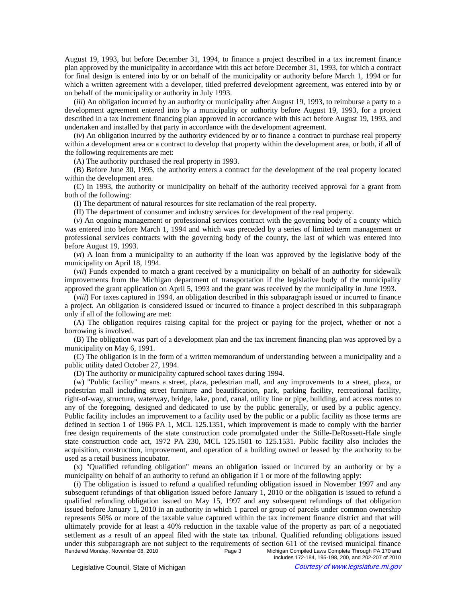August 19, 1993, but before December 31, 1994, to finance a project described in a tax increment finance plan approved by the municipality in accordance with this act before December 31, 1993, for which a contract for final design is entered into by or on behalf of the municipality or authority before March 1, 1994 or for which a written agreement with a developer, titled preferred development agreement, was entered into by or on behalf of the municipality or authority in July 1993.

(*iii*) An obligation incurred by an authority or municipality after August 19, 1993, to reimburse a party to a development agreement entered into by a municipality or authority before August 19, 1993, for a project described in a tax increment financing plan approved in accordance with this act before August 19, 1993, and undertaken and installed by that party in accordance with the development agreement.

(*iv*) An obligation incurred by the authority evidenced by or to finance a contract to purchase real property within a development area or a contract to develop that property within the development area, or both, if all of the following requirements are met:

(A) The authority purchased the real property in 1993.

(B) Before June 30, 1995, the authority enters a contract for the development of the real property located within the development area.

(C) In 1993, the authority or municipality on behalf of the authority received approval for a grant from both of the following:

(I) The department of natural resources for site reclamation of the real property.

(II) The department of consumer and industry services for development of the real property.

(*v*) An ongoing management or professional services contract with the governing body of a county which was entered into before March 1, 1994 and which was preceded by a series of limited term management or professional services contracts with the governing body of the county, the last of which was entered into before August 19, 1993.

(*vi*) A loan from a municipality to an authority if the loan was approved by the legislative body of the municipality on April 18, 1994.

(*vii*) Funds expended to match a grant received by a municipality on behalf of an authority for sidewalk improvements from the Michigan department of transportation if the legislative body of the municipality approved the grant application on April 5, 1993 and the grant was received by the municipality in June 1993.

(*viii*) For taxes captured in 1994, an obligation described in this subparagraph issued or incurred to finance a project. An obligation is considered issued or incurred to finance a project described in this subparagraph only if all of the following are met:

(A) The obligation requires raising capital for the project or paying for the project, whether or not a borrowing is involved.

(B) The obligation was part of a development plan and the tax increment financing plan was approved by a municipality on May 6, 1991.

(C) The obligation is in the form of a written memorandum of understanding between a municipality and a public utility dated October 27, 1994.

(D) The authority or municipality captured school taxes during 1994.

(w) "Public facility" means a street, plaza, pedestrian mall, and any improvements to a street, plaza, or pedestrian mall including street furniture and beautification, park, parking facility, recreational facility, right-of-way, structure, waterway, bridge, lake, pond, canal, utility line or pipe, building, and access routes to any of the foregoing, designed and dedicated to use by the public generally, or used by a public agency. Public facility includes an improvement to a facility used by the public or a public facility as those terms are defined in section 1 of 1966 PA 1, MCL 125.1351, which improvement is made to comply with the barrier free design requirements of the state construction code promulgated under the Stille-DeRossett-Hale single state construction code act, 1972 PA 230, MCL 125.1501 to 125.1531. Public facility also includes the acquisition, construction, improvement, and operation of a building owned or leased by the authority to be used as a retail business incubator.

(x) "Qualified refunding obligation" means an obligation issued or incurred by an authority or by a municipality on behalf of an authority to refund an obligation if 1 or more of the following apply:

(*i*) The obligation is issued to refund a qualified refunding obligation issued in November 1997 and any subsequent refundings of that obligation issued before January 1, 2010 or the obligation is issued to refund a qualified refunding obligation issued on May 15, 1997 and any subsequent refundings of that obligation issued before January 1, 2010 in an authority in which 1 parcel or group of parcels under common ownership represents 50% or more of the taxable value captured within the tax increment finance district and that will ultimately provide for at least a 40% reduction in the taxable value of the property as part of a negotiated settlement as a result of an appeal filed with the state tax tribunal. Qualified refunding obligations issued under this subparagraph are not subject to the requirements of section 611 of the revised municipal finance<br>Rendered Monday, November 08, 2010<br>Page 3 Michigan Compiled Laws Complete Through PA 170 and Rendered Monday, November 08, 2010 **Page 3** Michigan Compiled Laws Complete Through PA 170 and includes 172-184, 195-198, 200, and 202-207 of 2010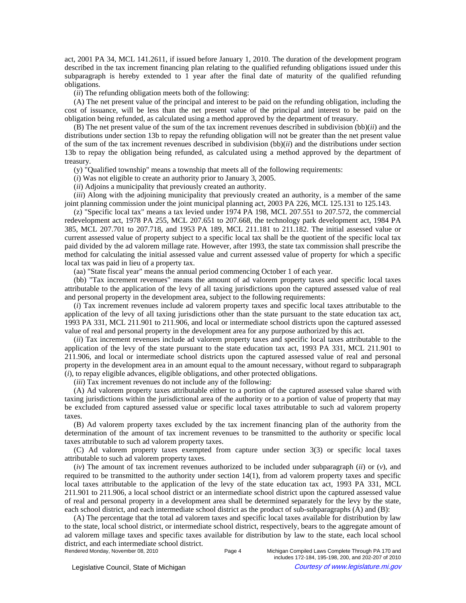act, 2001 PA 34, MCL 141.2611, if issued before January 1, 2010. The duration of the development program described in the tax increment financing plan relating to the qualified refunding obligations issued under this subparagraph is hereby extended to 1 year after the final date of maturity of the qualified refunding obligations.

(*ii*) The refunding obligation meets both of the following:

(A) The net present value of the principal and interest to be paid on the refunding obligation, including the cost of issuance, will be less than the net present value of the principal and interest to be paid on the obligation being refunded, as calculated using a method approved by the department of treasury.

(B) The net present value of the sum of the tax increment revenues described in subdivision (bb)(*ii*) and the distributions under section 13b to repay the refunding obligation will not be greater than the net present value of the sum of the tax increment revenues described in subdivision (bb)(*ii*) and the distributions under section 13b to repay the obligation being refunded, as calculated using a method approved by the department of treasury.

(y) "Qualified township" means a township that meets all of the following requirements:

(*i*) Was not eligible to create an authority prior to January 3, 2005.

(*ii*) Adjoins a municipality that previously created an authority.

(*iii*) Along with the adjoining municipality that previously created an authority, is a member of the same joint planning commission under the joint municipal planning act, 2003 PA 226, MCL 125.131 to 125.143.

(z) "Specific local tax" means a tax levied under 1974 PA 198, MCL 207.551 to 207.572, the commercial redevelopment act, 1978 PA 255, MCL 207.651 to 207.668, the technology park development act, 1984 PA 385, MCL 207.701 to 207.718, and 1953 PA 189, MCL 211.181 to 211.182. The initial assessed value or current assessed value of property subject to a specific local tax shall be the quotient of the specific local tax paid divided by the ad valorem millage rate. However, after 1993, the state tax commission shall prescribe the method for calculating the initial assessed value and current assessed value of property for which a specific local tax was paid in lieu of a property tax.

(aa) "State fiscal year" means the annual period commencing October 1 of each year.

(bb) "Tax increment revenues" means the amount of ad valorem property taxes and specific local taxes attributable to the application of the levy of all taxing jurisdictions upon the captured assessed value of real and personal property in the development area, subject to the following requirements:

(*i*) Tax increment revenues include ad valorem property taxes and specific local taxes attributable to the application of the levy of all taxing jurisdictions other than the state pursuant to the state education tax act, 1993 PA 331, MCL 211.901 to 211.906, and local or intermediate school districts upon the captured assessed value of real and personal property in the development area for any purpose authorized by this act.

(*ii*) Tax increment revenues include ad valorem property taxes and specific local taxes attributable to the application of the levy of the state pursuant to the state education tax act, 1993 PA 331, MCL 211.901 to 211.906, and local or intermediate school districts upon the captured assessed value of real and personal property in the development area in an amount equal to the amount necessary, without regard to subparagraph (*i*), to repay eligible advances, eligible obligations, and other protected obligations.

(*iii*) Tax increment revenues do not include any of the following:

(A) Ad valorem property taxes attributable either to a portion of the captured assessed value shared with taxing jurisdictions within the jurisdictional area of the authority or to a portion of value of property that may be excluded from captured assessed value or specific local taxes attributable to such ad valorem property taxes.

(B) Ad valorem property taxes excluded by the tax increment financing plan of the authority from the determination of the amount of tax increment revenues to be transmitted to the authority or specific local taxes attributable to such ad valorem property taxes.

(C) Ad valorem property taxes exempted from capture under section 3(3) or specific local taxes attributable to such ad valorem property taxes.

(*iv*) The amount of tax increment revenues authorized to be included under subparagraph (*ii*) or (*v*), and required to be transmitted to the authority under section 14(1), from ad valorem property taxes and specific local taxes attributable to the application of the levy of the state education tax act, 1993 PA 331, MCL 211.901 to 211.906, a local school district or an intermediate school district upon the captured assessed value of real and personal property in a development area shall be determined separately for the levy by the state, each school district, and each intermediate school district as the product of sub-subparagraphs (A) and (B):

(A) The percentage that the total ad valorem taxes and specific local taxes available for distribution by law to the state, local school district, or intermediate school district, respectively, bears to the aggregate amount of ad valorem millage taxes and specific taxes available for distribution by law to the state, each local school district, and each intermediate school district.<br>Rendered Monday, November 08, 2010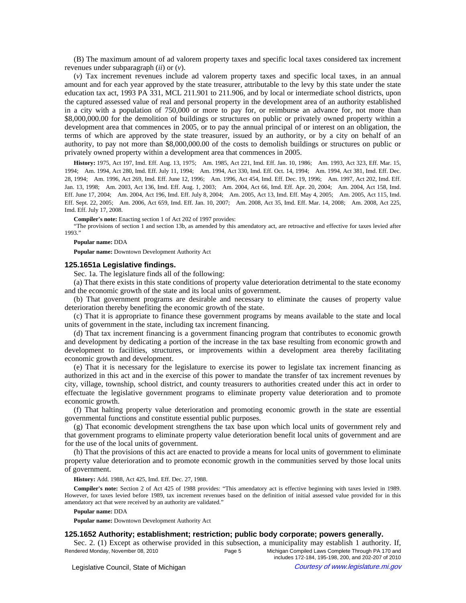(B) The maximum amount of ad valorem property taxes and specific local taxes considered tax increment revenues under subparagraph (*ii*) or (*v*).

(*v*) Tax increment revenues include ad valorem property taxes and specific local taxes, in an annual amount and for each year approved by the state treasurer, attributable to the levy by this state under the state education tax act, 1993 PA 331, MCL 211.901 to 211.906, and by local or intermediate school districts, upon the captured assessed value of real and personal property in the development area of an authority established in a city with a population of 750,000 or more to pay for, or reimburse an advance for, not more than \$8,000,000.00 for the demolition of buildings or structures on public or privately owned property within a development area that commences in 2005, or to pay the annual principal of or interest on an obligation, the terms of which are approved by the state treasurer, issued by an authority, or by a city on behalf of an authority, to pay not more than \$8,000,000.00 of the costs to demolish buildings or structures on public or privately owned property within a development area that commences in 2005.

History: 1975, Act 197, Imd. Eff. Aug. 13, 1975;—Am. 1985, Act 221, Imd. Eff. Jan. 10, 1986;—Am. 1993, Act 323, Eff. Mar. 15, 1994;—Am. 1994, Act 280, Imd. Eff. July 11, 1994;—Am. 1994, Act 330, Imd. Eff. Oct. 14, 1994;—Am. 1994, Act 381, Imd. Eff. Dec. 28, 1994;-Am. 1996, Act 269, Imd. Eff. June 12, 1996;-Am. 1996, Act 454, Imd. Eff. Dec. 19, 1996;--Am. 1997, Act 202, Imd. Eff. Jan. 13, 1998;—Am. 2003, Act 136, Imd. Eff. Aug. 1, 2003;—Am. 2004, Act 66, Imd. Eff. Apr. 20, 2004;—Am. 2004, Act 158, Imd. Eff. June 17, 2004;—Am. 2004, Act 196, Imd. Eff. July 8, 2004;—Am. 2005, Act 13, Imd. Eff. May 4, 2005;—Am. 2005, Act 115, Imd. Eff. Sept. 22, 2005;—Am. 2006, Act 659, Imd. Eff. Jan. 10, 2007;—Am. 2008, Act 35, Imd. Eff. Mar. 14, 2008;—Am. 2008, Act 225, Imd. Eff. July 17, 2008.

**Compiler's note:** Enacting section 1 of Act 202 of 1997 provides:

"The provisions of section 1 and section 13b, as amended by this amendatory act, are retroactive and effective for taxes levied after 1993."

#### **Popular name:** DDA

**Popular name:** Downtown Development Authority Act

### **125.1651a Legislative findings.**

Sec. 1a. The legislature finds all of the following:

(a) That there exists in this state conditions of property value deterioration detrimental to the state economy and the economic growth of the state and its local units of government.

(b) That government programs are desirable and necessary to eliminate the causes of property value deterioration thereby benefiting the economic growth of the state.

(c) That it is appropriate to finance these government programs by means available to the state and local units of government in the state, including tax increment financing.

(d) That tax increment financing is a government financing program that contributes to economic growth and development by dedicating a portion of the increase in the tax base resulting from economic growth and development to facilities, structures, or improvements within a development area thereby facilitating economic growth and development.

(e) That it is necessary for the legislature to exercise its power to legislate tax increment financing as authorized in this act and in the exercise of this power to mandate the transfer of tax increment revenues by city, village, township, school district, and county treasurers to authorities created under this act in order to effectuate the legislative government programs to eliminate property value deterioration and to promote economic growth.

(f) That halting property value deterioration and promoting economic growth in the state are essential governmental functions and constitute essential public purposes.

(g) That economic development strengthens the tax base upon which local units of government rely and that government programs to eliminate property value deterioration benefit local units of government and are for the use of the local units of government.

(h) That the provisions of this act are enacted to provide a means for local units of government to eliminate property value deterioration and to promote economic growth in the communities served by those local units of government.

**History:** Add. 1988, Act 425, Imd. Eff. Dec. 27, 1988.

**Compiler's note:** Section 2 of Act 425 of 1988 provides: "This amendatory act is effective beginning with taxes levied in 1989. However, for taxes levied before 1989, tax increment revenues based on the definition of initial assessed value provided for in this amendatory act that were received by an authority are validated."

## **Popular name:** DDA

**Popular name:** Downtown Development Authority Act

## **125.1652 Authority; establishment; restriction; public body corporate; powers generally.**

Sec. 2. (1) Except as otherwise provided in this subsection, a municipality may establish 1 authority. If, Rendered Monday, November 08, 2010 **Page 5** Michigan Compiled Laws Complete Through PA 170 and includes 172-184, 195-198, 200, and 202-207 of 2010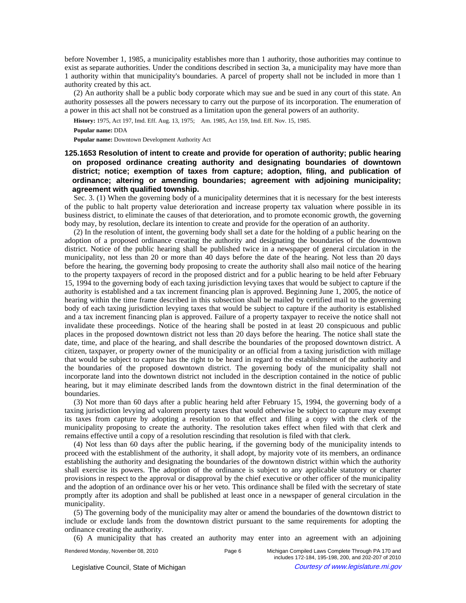before November 1, 1985, a municipality establishes more than 1 authority, those authorities may continue to exist as separate authorities. Under the conditions described in section 3a, a municipality may have more than 1 authority within that municipality's boundaries. A parcel of property shall not be included in more than 1 authority created by this act.

(2) An authority shall be a public body corporate which may sue and be sued in any court of this state. An authority possesses all the powers necessary to carry out the purpose of its incorporation. The enumeration of a power in this act shall not be construed as a limitation upon the general powers of an authority.

History: 1975, Act 197, Imd. Eff. Aug. 13, 1975;—Am. 1985, Act 159, Imd. Eff. Nov. 15, 1985.

**Popular name:** DDA

**Popular name:** Downtown Development Authority Act

# **125.1653 Resolution of intent to create and provide for operation of authority; public hearing on proposed ordinance creating authority and designating boundaries of downtown district; notice; exemption of taxes from capture; adoption, filing, and publication of ordinance; altering or amending boundaries; agreement with adjoining municipality; agreement with qualified township.**

Sec. 3. (1) When the governing body of a municipality determines that it is necessary for the best interests of the public to halt property value deterioration and increase property tax valuation where possible in its business district, to eliminate the causes of that deterioration, and to promote economic growth, the governing body may, by resolution, declare its intention to create and provide for the operation of an authority.

(2) In the resolution of intent, the governing body shall set a date for the holding of a public hearing on the adoption of a proposed ordinance creating the authority and designating the boundaries of the downtown district. Notice of the public hearing shall be published twice in a newspaper of general circulation in the municipality, not less than 20 or more than 40 days before the date of the hearing. Not less than 20 days before the hearing, the governing body proposing to create the authority shall also mail notice of the hearing to the property taxpayers of record in the proposed district and for a public hearing to be held after February 15, 1994 to the governing body of each taxing jurisdiction levying taxes that would be subject to capture if the authority is established and a tax increment financing plan is approved. Beginning June 1, 2005, the notice of hearing within the time frame described in this subsection shall be mailed by certified mail to the governing body of each taxing jurisdiction levying taxes that would be subject to capture if the authority is established and a tax increment financing plan is approved. Failure of a property taxpayer to receive the notice shall not invalidate these proceedings. Notice of the hearing shall be posted in at least 20 conspicuous and public places in the proposed downtown district not less than 20 days before the hearing. The notice shall state the date, time, and place of the hearing, and shall describe the boundaries of the proposed downtown district. A citizen, taxpayer, or property owner of the municipality or an official from a taxing jurisdiction with millage that would be subject to capture has the right to be heard in regard to the establishment of the authority and the boundaries of the proposed downtown district. The governing body of the municipality shall not incorporate land into the downtown district not included in the description contained in the notice of public hearing, but it may eliminate described lands from the downtown district in the final determination of the boundaries.

(3) Not more than 60 days after a public hearing held after February 15, 1994, the governing body of a taxing jurisdiction levying ad valorem property taxes that would otherwise be subject to capture may exempt its taxes from capture by adopting a resolution to that effect and filing a copy with the clerk of the municipality proposing to create the authority. The resolution takes effect when filed with that clerk and remains effective until a copy of a resolution rescinding that resolution is filed with that clerk.

(4) Not less than 60 days after the public hearing, if the governing body of the municipality intends to proceed with the establishment of the authority, it shall adopt, by majority vote of its members, an ordinance establishing the authority and designating the boundaries of the downtown district within which the authority shall exercise its powers. The adoption of the ordinance is subject to any applicable statutory or charter provisions in respect to the approval or disapproval by the chief executive or other officer of the municipality and the adoption of an ordinance over his or her veto. This ordinance shall be filed with the secretary of state promptly after its adoption and shall be published at least once in a newspaper of general circulation in the municipality.

(5) The governing body of the municipality may alter or amend the boundaries of the downtown district to include or exclude lands from the downtown district pursuant to the same requirements for adopting the ordinance creating the authority.

(6) A municipality that has created an authority may enter into an agreement with an adjoining

includes 172-184, 195-198, 200, and 202-207 of 2010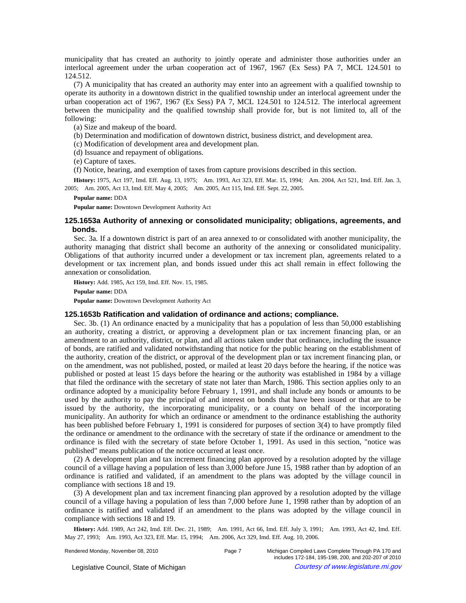municipality that has created an authority to jointly operate and administer those authorities under an interlocal agreement under the urban cooperation act of 1967, 1967 (Ex Sess) PA 7, MCL 124.501 to 124.512.

(7) A municipality that has created an authority may enter into an agreement with a qualified township to operate its authority in a downtown district in the qualified township under an interlocal agreement under the urban cooperation act of 1967, 1967 (Ex Sess) PA 7, MCL 124.501 to 124.512. The interlocal agreement between the municipality and the qualified township shall provide for, but is not limited to, all of the following:

(a) Size and makeup of the board.

(b) Determination and modification of downtown district, business district, and development area.

(c) Modification of development area and development plan.

(d) Issuance and repayment of obligations.

(e) Capture of taxes.

(f) Notice, hearing, and exemption of taxes from capture provisions described in this section.

History: 1975, Act 197, Imd. Eff. Aug. 13, 1975;--Am. 1993, Act 323, Eff. Mar. 15, 1994;--Am. 2004, Act 521, Imd. Eff. Jan. 3, 2005; Am. 2005, Act 13, Imd. Eff. May 4, 2005; Am. 2005, Act 115, Imd. Eff. Sept. 22, 2005.

**Popular name:** DDA

**Popular name:** Downtown Development Authority Act

## **125.1653a Authority of annexing or consolidated municipality; obligations, agreements, and bonds.**

Sec. 3a. If a downtown district is part of an area annexed to or consolidated with another municipality, the authority managing that district shall become an authority of the annexing or consolidated municipality. Obligations of that authority incurred under a development or tax increment plan, agreements related to a development or tax increment plan, and bonds issued under this act shall remain in effect following the annexation or consolidation.

**History:** Add. 1985, Act 159, Imd. Eff. Nov. 15, 1985.

**Popular name:** DDA

**Popular name:** Downtown Development Authority Act

## **125.1653b Ratification and validation of ordinance and actions; compliance.**

Sec. 3b. (1) An ordinance enacted by a municipality that has a population of less than 50,000 establishing an authority, creating a district, or approving a development plan or tax increment financing plan, or an amendment to an authority, district, or plan, and all actions taken under that ordinance, including the issuance of bonds, are ratified and validated notwithstanding that notice for the public hearing on the establishment of the authority, creation of the district, or approval of the development plan or tax increment financing plan, or on the amendment, was not published, posted, or mailed at least 20 days before the hearing, if the notice was published or posted at least 15 days before the hearing or the authority was established in 1984 by a village that filed the ordinance with the secretary of state not later than March, 1986. This section applies only to an ordinance adopted by a municipality before February 1, 1991, and shall include any bonds or amounts to be used by the authority to pay the principal of and interest on bonds that have been issued or that are to be issued by the authority, the incorporating municipality, or a county on behalf of the incorporating municipality. An authority for which an ordinance or amendment to the ordinance establishing the authority has been published before February 1, 1991 is considered for purposes of section 3(4) to have promptly filed the ordinance or amendment to the ordinance with the secretary of state if the ordinance or amendment to the ordinance is filed with the secretary of state before October 1, 1991. As used in this section, "notice was published" means publication of the notice occurred at least once.

(2) A development plan and tax increment financing plan approved by a resolution adopted by the village council of a village having a population of less than 3,000 before June 15, 1988 rather than by adoption of an ordinance is ratified and validated, if an amendment to the plans was adopted by the village council in compliance with sections 18 and 19.

(3) A development plan and tax increment financing plan approved by a resolution adopted by the village council of a village having a population of less than 7,000 before June 1, 1998 rather than by adoption of an ordinance is ratified and validated if an amendment to the plans was adopted by the village council in compliance with sections 18 and 19.

History: Add. 1989, Act 242, Imd. Eff. Dec. 21, 1989;—Am. 1991, Act 66, Imd. Eff. July 3, 1991;—Am. 1993, Act 42, Imd. Eff. May 27, 1993;—Am. 1993, Act 323, Eff. Mar. 15, 1994;—Am. 2006, Act 329, Imd. Eff. Aug. 10, 2006.

Rendered Monday, November 08, 2010 **Page 7** Michigan Compiled Laws Complete Through PA 170 and includes 172-184, 195-198, 200, and 202-207 of 2010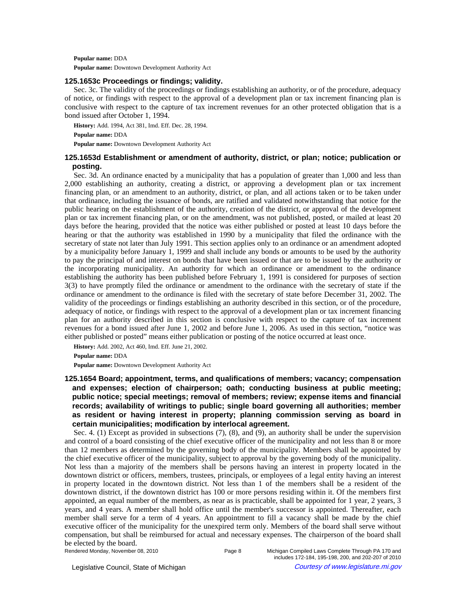**Popular name:** DDA

**Popular name:** Downtown Development Authority Act

## **125.1653c Proceedings or findings; validity.**

Sec. 3c. The validity of the proceedings or findings establishing an authority, or of the procedure, adequacy of notice, or findings with respect to the approval of a development plan or tax increment financing plan is conclusive with respect to the capture of tax increment revenues for an other protected obligation that is a bond issued after October 1, 1994.

**History:** Add. 1994, Act 381, Imd. Eff. Dec. 28, 1994.

**Popular name:** DDA

**Popular name:** Downtown Development Authority Act

# **125.1653d Establishment or amendment of authority, district, or plan; notice; publication or posting.**

Sec. 3d. An ordinance enacted by a municipality that has a population of greater than 1,000 and less than 2,000 establishing an authority, creating a district, or approving a development plan or tax increment financing plan, or an amendment to an authority, district, or plan, and all actions taken or to be taken under that ordinance, including the issuance of bonds, are ratified and validated notwithstanding that notice for the public hearing on the establishment of the authority, creation of the district, or approval of the development plan or tax increment financing plan, or on the amendment, was not published, posted, or mailed at least 20 days before the hearing, provided that the notice was either published or posted at least 10 days before the hearing or that the authority was established in 1990 by a municipality that filed the ordinance with the secretary of state not later than July 1991. This section applies only to an ordinance or an amendment adopted by a municipality before January 1, 1999 and shall include any bonds or amounts to be used by the authority to pay the principal of and interest on bonds that have been issued or that are to be issued by the authority or the incorporating municipality. An authority for which an ordinance or amendment to the ordinance establishing the authority has been published before February 1, 1991 is considered for purposes of section 3(3) to have promptly filed the ordinance or amendment to the ordinance with the secretary of state if the ordinance or amendment to the ordinance is filed with the secretary of state before December 31, 2002. The validity of the proceedings or findings establishing an authority described in this section, or of the procedure, adequacy of notice, or findings with respect to the approval of a development plan or tax increment financing plan for an authority described in this section is conclusive with respect to the capture of tax increment revenues for a bond issued after June 1, 2002 and before June 1, 2006. As used in this section, "notice was either published or posted" means either publication or posting of the notice occurred at least once.

**History:** Add. 2002, Act 460, Imd. Eff. June 21, 2002.

**Popular name:** DDA

**Popular name:** Downtown Development Authority Act

# **125.1654 Board; appointment, terms, and qualifications of members; vacancy; compensation and expenses; election of chairperson; oath; conducting business at public meeting; public notice; special meetings; removal of members; review; expense items and financial records; availability of writings to public; single board governing all authorities; member as resident or having interest in property; planning commission serving as board in certain municipalities; modification by interlocal agreement.**

Sec. 4. (1) Except as provided in subsections (7), (8), and (9), an authority shall be under the supervision and control of a board consisting of the chief executive officer of the municipality and not less than 8 or more than 12 members as determined by the governing body of the municipality. Members shall be appointed by the chief executive officer of the municipality, subject to approval by the governing body of the municipality. Not less than a majority of the members shall be persons having an interest in property located in the downtown district or officers, members, trustees, principals, or employees of a legal entity having an interest in property located in the downtown district. Not less than 1 of the members shall be a resident of the downtown district, if the downtown district has 100 or more persons residing within it. Of the members first appointed, an equal number of the members, as near as is practicable, shall be appointed for 1 year, 2 years, 3 years, and 4 years. A member shall hold office until the member's successor is appointed. Thereafter, each member shall serve for a term of 4 years. An appointment to fill a vacancy shall be made by the chief executive officer of the municipality for the unexpired term only. Members of the board shall serve without compensation, but shall be reimbursed for actual and necessary expenses. The chairperson of the board shall be elected by the board.

Rendered Monday, November 08, 2010 **Page 8** Michigan Compiled Laws Complete Through PA 170 and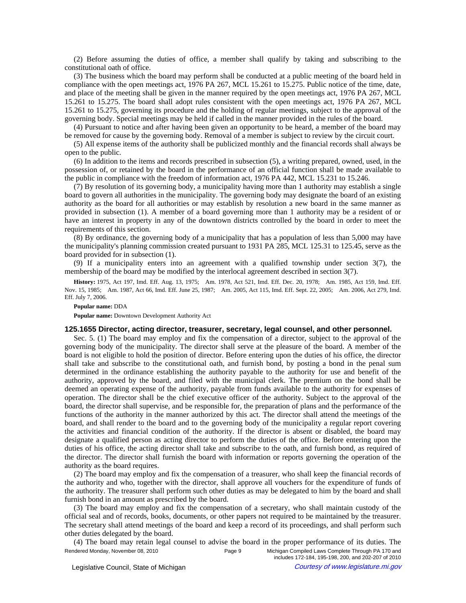(2) Before assuming the duties of office, a member shall qualify by taking and subscribing to the constitutional oath of office.

(3) The business which the board may perform shall be conducted at a public meeting of the board held in compliance with the open meetings act, 1976 PA 267, MCL 15.261 to 15.275. Public notice of the time, date, and place of the meeting shall be given in the manner required by the open meetings act, 1976 PA 267, MCL 15.261 to 15.275. The board shall adopt rules consistent with the open meetings act, 1976 PA 267, MCL 15.261 to 15.275, governing its procedure and the holding of regular meetings, subject to the approval of the governing body. Special meetings may be held if called in the manner provided in the rules of the board.

(4) Pursuant to notice and after having been given an opportunity to be heard, a member of the board may be removed for cause by the governing body. Removal of a member is subject to review by the circuit court.

(5) All expense items of the authority shall be publicized monthly and the financial records shall always be open to the public.

(6) In addition to the items and records prescribed in subsection (5), a writing prepared, owned, used, in the possession of, or retained by the board in the performance of an official function shall be made available to the public in compliance with the freedom of information act, 1976 PA 442, MCL 15.231 to 15.246.

(7) By resolution of its governing body, a municipality having more than 1 authority may establish a single board to govern all authorities in the municipality. The governing body may designate the board of an existing authority as the board for all authorities or may establish by resolution a new board in the same manner as provided in subsection (1). A member of a board governing more than 1 authority may be a resident of or have an interest in property in any of the downtown districts controlled by the board in order to meet the requirements of this section.

(8) By ordinance, the governing body of a municipality that has a population of less than 5,000 may have the municipality's planning commission created pursuant to 1931 PA 285, MCL 125.31 to 125.45, serve as the board provided for in subsection (1).

(9) If a municipality enters into an agreement with a qualified township under section 3(7), the membership of the board may be modified by the interlocal agreement described in section 3(7).

History: 1975, Act 197, Imd. Eff. Aug. 13, 1975;—Am. 1978, Act 521, Imd. Eff. Dec. 20, 1978;—Am. 1985, Act 159, Imd. Eff. Nov. 15, 1985;—Am. 1987, Act 66, Imd. Eff. June 25, 1987;—Am. 2005, Act 115, Imd. Eff. Sept. 22, 2005;—Am. 2006, Act 279, Imd. Eff. July 7, 2006.

#### **Popular name:** DDA

**Popular name:** Downtown Development Authority Act

## **125.1655 Director, acting director, treasurer, secretary, legal counsel, and other personnel.**

Sec. 5. (1) The board may employ and fix the compensation of a director, subject to the approval of the governing body of the municipality. The director shall serve at the pleasure of the board. A member of the board is not eligible to hold the position of director. Before entering upon the duties of his office, the director shall take and subscribe to the constitutional oath, and furnish bond, by posting a bond in the penal sum determined in the ordinance establishing the authority payable to the authority for use and benefit of the authority, approved by the board, and filed with the municipal clerk. The premium on the bond shall be deemed an operating expense of the authority, payable from funds available to the authority for expenses of operation. The director shall be the chief executive officer of the authority. Subject to the approval of the board, the director shall supervise, and be responsible for, the preparation of plans and the performance of the functions of the authority in the manner authorized by this act. The director shall attend the meetings of the board, and shall render to the board and to the governing body of the municipality a regular report covering the activities and financial condition of the authority. If the director is absent or disabled, the board may designate a qualified person as acting director to perform the duties of the office. Before entering upon the duties of his office, the acting director shall take and subscribe to the oath, and furnish bond, as required of the director. The director shall furnish the board with information or reports governing the operation of the authority as the board requires.

(2) The board may employ and fix the compensation of a treasurer, who shall keep the financial records of the authority and who, together with the director, shall approve all vouchers for the expenditure of funds of the authority. The treasurer shall perform such other duties as may be delegated to him by the board and shall furnish bond in an amount as prescribed by the board.

(3) The board may employ and fix the compensation of a secretary, who shall maintain custody of the official seal and of records, books, documents, or other papers not required to be maintained by the treasurer. The secretary shall attend meetings of the board and keep a record of its proceedings, and shall perform such other duties delegated by the board.

(4) The board may retain legal counsel to advise the board in the proper performance of its duties. The Rendered Monday, November 08, 2010 **Page 9** Michigan Compiled Laws Complete Through PA 170 and includes 172-184, 195-198, 200, and 202-207 of 2010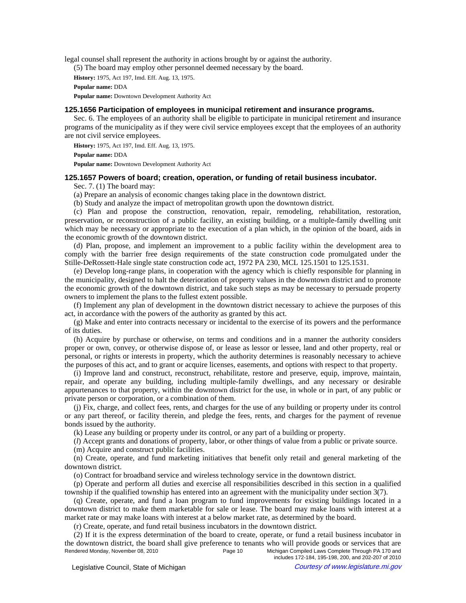legal counsel shall represent the authority in actions brought by or against the authority.

(5) The board may employ other personnel deemed necessary by the board.

**History:** 1975, Act 197, Imd. Eff. Aug. 13, 1975.

**Popular name:** DDA

**Popular name:** Downtown Development Authority Act

# **125.1656 Participation of employees in municipal retirement and insurance programs.**

Sec. 6. The employees of an authority shall be eligible to participate in municipal retirement and insurance programs of the municipality as if they were civil service employees except that the employees of an authority are not civil service employees.

**History:** 1975, Act 197, Imd. Eff. Aug. 13, 1975.

**Popular name:** DDA

**Popular name:** Downtown Development Authority Act

## **125.1657 Powers of board; creation, operation, or funding of retail business incubator.**

Sec. 7. (1) The board may:

(a) Prepare an analysis of economic changes taking place in the downtown district.

(b) Study and analyze the impact of metropolitan growth upon the downtown district.

(c) Plan and propose the construction, renovation, repair, remodeling, rehabilitation, restoration, preservation, or reconstruction of a public facility, an existing building, or a multiple-family dwelling unit which may be necessary or appropriate to the execution of a plan which, in the opinion of the board, aids in the economic growth of the downtown district.

(d) Plan, propose, and implement an improvement to a public facility within the development area to comply with the barrier free design requirements of the state construction code promulgated under the Stille-DeRossett-Hale single state construction code act, 1972 PA 230, MCL 125.1501 to 125.1531.

(e) Develop long-range plans, in cooperation with the agency which is chiefly responsible for planning in the municipality, designed to halt the deterioration of property values in the downtown district and to promote the economic growth of the downtown district, and take such steps as may be necessary to persuade property owners to implement the plans to the fullest extent possible.

(f) Implement any plan of development in the downtown district necessary to achieve the purposes of this act, in accordance with the powers of the authority as granted by this act.

(g) Make and enter into contracts necessary or incidental to the exercise of its powers and the performance of its duties.

(h) Acquire by purchase or otherwise, on terms and conditions and in a manner the authority considers proper or own, convey, or otherwise dispose of, or lease as lessor or lessee, land and other property, real or personal, or rights or interests in property, which the authority determines is reasonably necessary to achieve the purposes of this act, and to grant or acquire licenses, easements, and options with respect to that property.

(i) Improve land and construct, reconstruct, rehabilitate, restore and preserve, equip, improve, maintain, repair, and operate any building, including multiple-family dwellings, and any necessary or desirable appurtenances to that property, within the downtown district for the use, in whole or in part, of any public or private person or corporation, or a combination of them.

(j) Fix, charge, and collect fees, rents, and charges for the use of any building or property under its control or any part thereof, or facility therein, and pledge the fees, rents, and charges for the payment of revenue bonds issued by the authority.

(k) Lease any building or property under its control, or any part of a building or property.

(*l*) Accept grants and donations of property, labor, or other things of value from a public or private source.

(m) Acquire and construct public facilities.

(n) Create, operate, and fund marketing initiatives that benefit only retail and general marketing of the downtown district.

(o) Contract for broadband service and wireless technology service in the downtown district.

(p) Operate and perform all duties and exercise all responsibilities described in this section in a qualified township if the qualified township has entered into an agreement with the municipality under section 3(7).

(q) Create, operate, and fund a loan program to fund improvements for existing buildings located in a downtown district to make them marketable for sale or lease. The board may make loans with interest at a market rate or may make loans with interest at a below market rate, as determined by the board.

(r) Create, operate, and fund retail business incubators in the downtown district.

(2) If it is the express determination of the board to create, operate, or fund a retail business incubator in the downtown district, the board shall give preference to tenants who will provide goods or services that are Rendered Monday, November 08, 2010 **Page 10** Page 10 Michigan Compiled Laws Complete Through PA 170 and includes 172-184, 195-198, 200, and 202-207 of 2010

© Legislative Council, State of Michigan Council Courtesy of www.legislature.mi.gov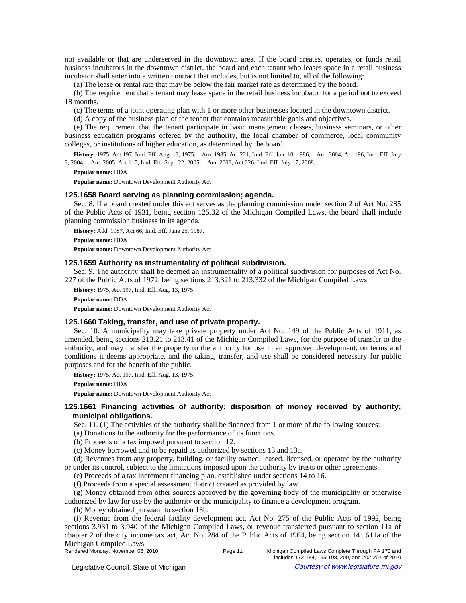not available or that are underserved in the downtown area. If the board creates, operates, or funds retail business incubators in the downtown district, the board and each tenant who leases space in a retail business incubator shall enter into a written contract that includes, but is not limited to, all of the following:

(a) The lease or rental rate that may be below the fair market rate as determined by the board.

(b) The requirement that a tenant may lease space in the retail business incubator for a period not to exceed 18 months.

(c) The terms of a joint operating plan with 1 or more other businesses located in the downtown district.

(d) A copy of the business plan of the tenant that contains measurable goals and objectives.

(e) The requirement that the tenant participate in basic management classes, business seminars, or other business education programs offered by the authority, the local chamber of commerce, local community colleges, or institutions of higher education, as determined by the board.

History: 1975, Act 197, Imd. Eff. Aug. 13, 1975;-- Am. 1985, Act 221, Imd. Eff. Jan. 10, 1986;-- Am. 2004, Act 196, Imd. Eff. July 8, 2004;-Am. 2005, Act 115, Imd. Eff. Sept. 22, 2005;-Am. 2008, Act 226, Imd. Eff. July 17, 2008.

**Popular name:** DDA

**Popular name:** Downtown Development Authority Act

## **125.1658 Board serving as planning commission; agenda.**

Sec. 8. If a board created under this act serves as the planning commission under section 2 of Act No. 285 of the Public Acts of 1931, being section 125.32 of the Michigan Compiled Laws, the board shall include planning commission business in its agenda.

**History:** Add. 1987, Act 66, Imd. Eff. June 25, 1987. **Popular name:** DDA **Popular name:** Downtown Development Authority Act

## **125.1659 Authority as instrumentality of political subdivision.**

Sec. 9. The authority shall be deemed an instrumentality of a political subdivision for purposes of Act No. 227 of the Public Acts of 1972, being sections 213.321 to 213.332 of the Michigan Compiled Laws.

**History:** 1975, Act 197, Imd. Eff. Aug. 13, 1975.

**Popular name:** DDA

**Popular name:** Downtown Development Authority Act

# **125.1660 Taking, transfer, and use of private property.**

Sec. 10. A municipality may take private property under Act No. 149 of the Public Acts of 1911, as amended, being sections 213.21 to 213.41 of the Michigan Compiled Laws, for the purpose of transfer to the authority, and may transfer the property to the authority for use in an approved development, on terms and conditions it deems appropriate, and the taking, transfer, and use shall be considered necessary for public purposes and for the benefit of the public.

**History:** 1975, Act 197, Imd. Eff. Aug. 13, 1975.

**Popular name:** DDA

**Popular name:** Downtown Development Authority Act

# **125.1661 Financing activities of authority; disposition of money received by authority; municipal obligations.**

Sec. 11. (1) The activities of the authority shall be financed from 1 or more of the following sources:

(a) Donations to the authority for the performance of its functions.

(b) Proceeds of a tax imposed pursuant to section 12.

(c) Money borrowed and to be repaid as authorized by sections 13 and 13a.

(d) Revenues from any property, building, or facility owned, leased, licensed, or operated by the authority or under its control, subject to the limitations imposed upon the authority by trusts or other agreements.

(e) Proceeds of a tax increment financing plan, established under sections 14 to 16.

(f) Proceeds from a special assessment district created as provided by law.

(g) Money obtained from other sources approved by the governing body of the municipality or otherwise authorized by law for use by the authority or the municipality to finance a development program.

(h) Money obtained pursuant to section 13b.

(i) Revenue from the federal facility development act, Act No. 275 of the Public Acts of 1992, being sections 3.931 to 3.940 of the Michigan Compiled Laws, or revenue transferred pursuant to section 11a of chapter 2 of the city income tax act, Act No. 284 of the Public Acts of 1964, being section 141.611a of the Michigan Compiled Laws.<br>Rendered Monday, November 08, 2010 Page 11 Michigan Compiled Laws Complete Through PA 170 and

includes 172-184, 195-198, 200, and 202-207 of 2010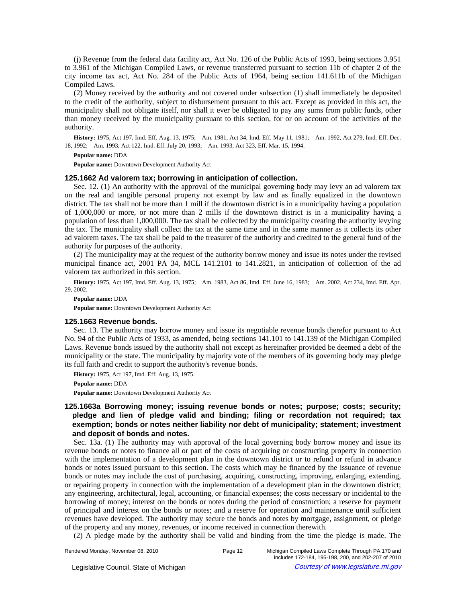(j) Revenue from the federal data facility act, Act No. 126 of the Public Acts of 1993, being sections 3.951 to 3.961 of the Michigan Compiled Laws, or revenue transferred pursuant to section 11b of chapter 2 of the city income tax act, Act No. 284 of the Public Acts of 1964, being section 141.611b of the Michigan Compiled Laws.

(2) Money received by the authority and not covered under subsection (1) shall immediately be deposited to the credit of the authority, subject to disbursement pursuant to this act. Except as provided in this act, the municipality shall not obligate itself, nor shall it ever be obligated to pay any sums from public funds, other than money received by the municipality pursuant to this section, for or on account of the activities of the authority.

History: 1975, Act 197, Imd. Eff. Aug. 13, 1975;—Am. 1981, Act 34, Imd. Eff. May 11, 1981;—Am. 1992, Act 279, Imd. Eff. Dec. 18, 1992;-Am. 1993, Act 122, Imd. Eff. July 20, 1993;-Am. 1993, Act 323, Eff. Mar. 15, 1994.

### **Popular name:** DDA

**Popular name:** Downtown Development Authority Act

## **125.1662 Ad valorem tax; borrowing in anticipation of collection.**

Sec. 12. (1) An authority with the approval of the municipal governing body may levy an ad valorem tax on the real and tangible personal property not exempt by law and as finally equalized in the downtown district. The tax shall not be more than 1 mill if the downtown district is in a municipality having a population of 1,000,000 or more, or not more than 2 mills if the downtown district is in a municipality having a population of less than 1,000,000. The tax shall be collected by the municipality creating the authority levying the tax. The municipality shall collect the tax at the same time and in the same manner as it collects its other ad valorem taxes. The tax shall be paid to the treasurer of the authority and credited to the general fund of the authority for purposes of the authority.

(2) The municipality may at the request of the authority borrow money and issue its notes under the revised municipal finance act, 2001 PA 34, MCL 141.2101 to 141.2821, in anticipation of collection of the ad valorem tax authorized in this section.

History: 1975, Act 197, Imd. Eff. Aug. 13, 1975;—Am. 1983, Act 86, Imd. Eff. June 16, 1983;—Am. 2002, Act 234, Imd. Eff. Apr. 29, 2002.

**Popular name:** DDA

**Popular name:** Downtown Development Authority Act

### **125.1663 Revenue bonds.**

Sec. 13. The authority may borrow money and issue its negotiable revenue bonds therefor pursuant to Act No. 94 of the Public Acts of 1933, as amended, being sections 141.101 to 141.139 of the Michigan Compiled Laws. Revenue bonds issued by the authority shall not except as hereinafter provided be deemed a debt of the municipality or the state. The municipality by majority vote of the members of its governing body may pledge its full faith and credit to support the authority's revenue bonds.

**History:** 1975, Act 197, Imd. Eff. Aug. 13, 1975.

**Popular name:** DDA

**Popular name:** Downtown Development Authority Act

# **125.1663a Borrowing money; issuing revenue bonds or notes; purpose; costs; security; pledge and lien of pledge valid and binding; filing or recordation not required; tax exemption; bonds or notes neither liability nor debt of municipality; statement; investment and deposit of bonds and notes.**

Sec. 13a. (1) The authority may with approval of the local governing body borrow money and issue its revenue bonds or notes to finance all or part of the costs of acquiring or constructing property in connection with the implementation of a development plan in the downtown district or to refund or refund in advance bonds or notes issued pursuant to this section. The costs which may be financed by the issuance of revenue bonds or notes may include the cost of purchasing, acquiring, constructing, improving, enlarging, extending, or repairing property in connection with the implementation of a development plan in the downtown district; any engineering, architectural, legal, accounting, or financial expenses; the costs necessary or incidental to the borrowing of money; interest on the bonds or notes during the period of construction; a reserve for payment of principal and interest on the bonds or notes; and a reserve for operation and maintenance until sufficient revenues have developed. The authority may secure the bonds and notes by mortgage, assignment, or pledge of the property and any money, revenues, or income received in connection therewith.

(2) A pledge made by the authority shall be valid and binding from the time the pledge is made. The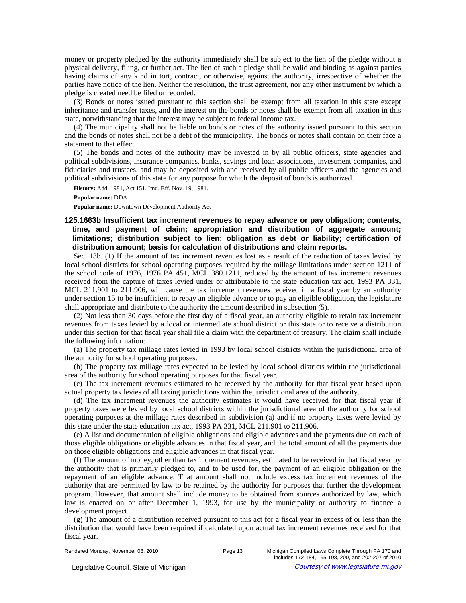money or property pledged by the authority immediately shall be subject to the lien of the pledge without a physical delivery, filing, or further act. The lien of such a pledge shall be valid and binding as against parties having claims of any kind in tort, contract, or otherwise, against the authority, irrespective of whether the parties have notice of the lien. Neither the resolution, the trust agreement, nor any other instrument by which a pledge is created need be filed or recorded.

(3) Bonds or notes issued pursuant to this section shall be exempt from all taxation in this state except inheritance and transfer taxes, and the interest on the bonds or notes shall be exempt from all taxation in this state, notwithstanding that the interest may be subject to federal income tax.

(4) The municipality shall not be liable on bonds or notes of the authority issued pursuant to this section and the bonds or notes shall not be a debt of the municipality. The bonds or notes shall contain on their face a statement to that effect.

(5) The bonds and notes of the authority may be invested in by all public officers, state agencies and political subdivisions, insurance companies, banks, savings and loan associations, investment companies, and fiduciaries and trustees, and may be deposited with and received by all public officers and the agencies and political subdivisions of this state for any purpose for which the deposit of bonds is authorized.

**History:** Add. 1981, Act 151, Imd. Eff. Nov. 19, 1981.

**Popular name:** DDA

**Popular name:** Downtown Development Authority Act

# **125.1663b Insufficient tax increment revenues to repay advance or pay obligation; contents, time, and payment of claim; appropriation and distribution of aggregate amount; limitations; distribution subject to lien; obligation as debt or liability; certification of distribution amount; basis for calculation of distributions and claim reports.**

Sec. 13b. (1) If the amount of tax increment revenues lost as a result of the reduction of taxes levied by local school districts for school operating purposes required by the millage limitations under section 1211 of the school code of 1976, 1976 PA 451, MCL 380.1211, reduced by the amount of tax increment revenues received from the capture of taxes levied under or attributable to the state education tax act, 1993 PA 331, MCL 211.901 to 211.906, will cause the tax increment revenues received in a fiscal year by an authority under section 15 to be insufficient to repay an eligible advance or to pay an eligible obligation, the legislature shall appropriate and distribute to the authority the amount described in subsection (5).

(2) Not less than 30 days before the first day of a fiscal year, an authority eligible to retain tax increment revenues from taxes levied by a local or intermediate school district or this state or to receive a distribution under this section for that fiscal year shall file a claim with the department of treasury. The claim shall include the following information:

(a) The property tax millage rates levied in 1993 by local school districts within the jurisdictional area of the authority for school operating purposes.

(b) The property tax millage rates expected to be levied by local school districts within the jurisdictional area of the authority for school operating purposes for that fiscal year.

(c) The tax increment revenues estimated to be received by the authority for that fiscal year based upon actual property tax levies of all taxing jurisdictions within the jurisdictional area of the authority.

(d) The tax increment revenues the authority estimates it would have received for that fiscal year if property taxes were levied by local school districts within the jurisdictional area of the authority for school operating purposes at the millage rates described in subdivision (a) and if no property taxes were levied by this state under the state education tax act, 1993 PA 331, MCL 211.901 to 211.906.

(e) A list and documentation of eligible obligations and eligible advances and the payments due on each of those eligible obligations or eligible advances in that fiscal year, and the total amount of all the payments due on those eligible obligations and eligible advances in that fiscal year.

(f) The amount of money, other than tax increment revenues, estimated to be received in that fiscal year by the authority that is primarily pledged to, and to be used for, the payment of an eligible obligation or the repayment of an eligible advance. That amount shall not include excess tax increment revenues of the authority that are permitted by law to be retained by the authority for purposes that further the development program. However, that amount shall include money to be obtained from sources authorized by law, which law is enacted on or after December 1, 1993, for use by the municipality or authority to finance a development project.

(g) The amount of a distribution received pursuant to this act for a fiscal year in excess of or less than the distribution that would have been required if calculated upon actual tax increment revenues received for that fiscal year.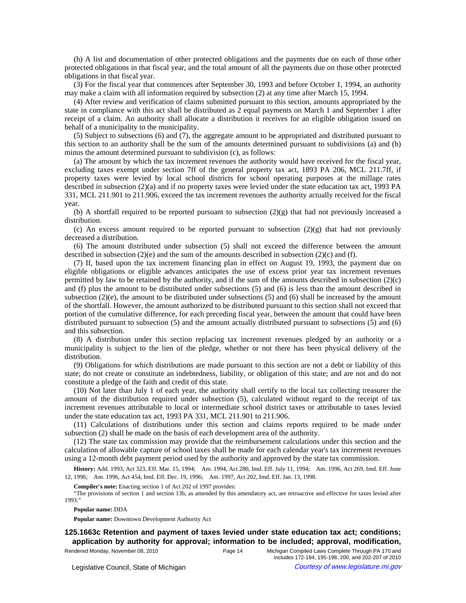(h) A list and documentation of other protected obligations and the payments due on each of those other protected obligations in that fiscal year, and the total amount of all the payments due on those other protected obligations in that fiscal year.

(3) For the fiscal year that commences after September 30, 1993 and before October 1, 1994, an authority may make a claim with all information required by subsection (2) at any time after March 15, 1994.

(4) After review and verification of claims submitted pursuant to this section, amounts appropriated by the state in compliance with this act shall be distributed as 2 equal payments on March 1 and September 1 after receipt of a claim. An authority shall allocate a distribution it receives for an eligible obligation issued on behalf of a municipality to the municipality.

(5) Subject to subsections (6) and (7), the aggregate amount to be appropriated and distributed pursuant to this section to an authority shall be the sum of the amounts determined pursuant to subdivisions (a) and (b) minus the amount determined pursuant to subdivision (c), as follows:

(a) The amount by which the tax increment revenues the authority would have received for the fiscal year, excluding taxes exempt under section 7ff of the general property tax act, 1893 PA 206, MCL 211.7ff, if property taxes were levied by local school districts for school operating purposes at the millage rates described in subsection (2)(a) and if no property taxes were levied under the state education tax act, 1993 PA 331, MCL 211.901 to 211.906, exceed the tax increment revenues the authority actually received for the fiscal year.

(b) A shortfall required to be reported pursuant to subsection  $(2)(g)$  that had not previously increased a distribution.

(c) An excess amount required to be reported pursuant to subsection  $(2)(g)$  that had not previously decreased a distribution.

(6) The amount distributed under subsection (5) shall not exceed the difference between the amount described in subsection  $(2)(e)$  and the sum of the amounts described in subsection  $(2)(c)$  and (f).

(7) If, based upon the tax increment financing plan in effect on August 19, 1993, the payment due on eligible obligations or eligible advances anticipates the use of excess prior year tax increment revenues permitted by law to be retained by the authority, and if the sum of the amounts described in subsection (2)(c) and (f) plus the amount to be distributed under subsections (5) and (6) is less than the amount described in subsection (2)(e), the amount to be distributed under subsections (5) and (6) shall be increased by the amount of the shortfall. However, the amount authorized to be distributed pursuant to this section shall not exceed that portion of the cumulative difference, for each preceding fiscal year, between the amount that could have been distributed pursuant to subsection (5) and the amount actually distributed pursuant to subsections (5) and (6) and this subsection.

(8) A distribution under this section replacing tax increment revenues pledged by an authority or a municipality is subject to the lien of the pledge, whether or not there has been physical delivery of the distribution.

(9) Obligations for which distributions are made pursuant to this section are not a debt or liability of this state; do not create or constitute an indebtedness, liability, or obligation of this state; and are not and do not constitute a pledge of the faith and credit of this state.

(10) Not later than July 1 of each year, the authority shall certify to the local tax collecting treasurer the amount of the distribution required under subsection (5), calculated without regard to the receipt of tax increment revenues attributable to local or intermediate school district taxes or attributable to taxes levied under the state education tax act, 1993 PA 331, MCL 211.901 to 211.906.

(11) Calculations of distributions under this section and claims reports required to be made under subsection (2) shall be made on the basis of each development area of the authority.

(12) The state tax commission may provide that the reimbursement calculations under this section and the calculation of allowable capture of school taxes shall be made for each calendar year's tax increment revenues using a 12-month debt payment period used by the authority and approved by the state tax commission.

History: Add. 1993, Act 323, Eff. Mar. 15, 1994;-Am. 1994, Act 280, Imd. Eff. July 11, 1994;--Am. 1996, Act 269, Imd. Eff. June 12, 1996; Am. 1996, Act 454, Imd. Eff. Dec. 19, 1996; Am. 1997, Act 202, Imd. Eff. Jan. 13, 1998.

**Compiler's note:** Enacting section 1 of Act 202 of 1997 provides:

"The provisions of section 1 and section 13b, as amended by this amendatory act, are retroactive and effective for taxes levied after 1993."

**Popular name:** DDA

**Popular name:** Downtown Development Authority Act

# **125.1663c Retention and payment of taxes levied under state education tax act; conditions; application by authority for approval; information to be included; approval, modification,**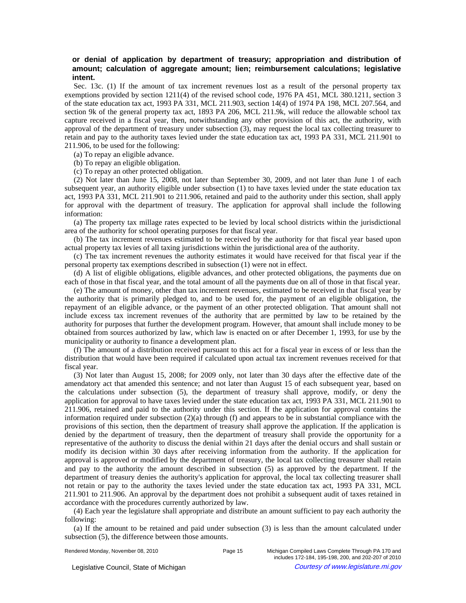# **or denial of application by department of treasury; appropriation and distribution of amount; calculation of aggregate amount; lien; reimbursement calculations; legislative intent.**

Sec. 13c. (1) If the amount of tax increment revenues lost as a result of the personal property tax exemptions provided by section 1211(4) of the revised school code, 1976 PA 451, MCL 380.1211, section 3 of the state education tax act, 1993 PA 331, MCL 211.903, section 14(4) of 1974 PA 198, MCL 207.564, and section 9k of the general property tax act, 1893 PA 206, MCL 211.9k, will reduce the allowable school tax capture received in a fiscal year, then, notwithstanding any other provision of this act, the authority, with approval of the department of treasury under subsection (3), may request the local tax collecting treasurer to retain and pay to the authority taxes levied under the state education tax act, 1993 PA 331, MCL 211.901 to 211.906, to be used for the following:

(a) To repay an eligible advance.

(b) To repay an eligible obligation.

(c) To repay an other protected obligation.

(2) Not later than June 15, 2008, not later than September 30, 2009, and not later than June 1 of each subsequent year, an authority eligible under subsection (1) to have taxes levied under the state education tax act, 1993 PA 331, MCL 211.901 to 211.906, retained and paid to the authority under this section, shall apply for approval with the department of treasury. The application for approval shall include the following information:

(a) The property tax millage rates expected to be levied by local school districts within the jurisdictional area of the authority for school operating purposes for that fiscal year.

(b) The tax increment revenues estimated to be received by the authority for that fiscal year based upon actual property tax levies of all taxing jurisdictions within the jurisdictional area of the authority.

(c) The tax increment revenues the authority estimates it would have received for that fiscal year if the personal property tax exemptions described in subsection (1) were not in effect.

(d) A list of eligible obligations, eligible advances, and other protected obligations, the payments due on each of those in that fiscal year, and the total amount of all the payments due on all of those in that fiscal year.

(e) The amount of money, other than tax increment revenues, estimated to be received in that fiscal year by the authority that is primarily pledged to, and to be used for, the payment of an eligible obligation, the repayment of an eligible advance, or the payment of an other protected obligation. That amount shall not include excess tax increment revenues of the authority that are permitted by law to be retained by the authority for purposes that further the development program. However, that amount shall include money to be obtained from sources authorized by law, which law is enacted on or after December 1, 1993, for use by the municipality or authority to finance a development plan.

(f) The amount of a distribution received pursuant to this act for a fiscal year in excess of or less than the distribution that would have been required if calculated upon actual tax increment revenues received for that fiscal year.

(3) Not later than August 15, 2008; for 2009 only, not later than 30 days after the effective date of the amendatory act that amended this sentence; and not later than August 15 of each subsequent year, based on the calculations under subsection (5), the department of treasury shall approve, modify, or deny the application for approval to have taxes levied under the state education tax act, 1993 PA 331, MCL 211.901 to 211.906, retained and paid to the authority under this section. If the application for approval contains the information required under subsection (2)(a) through (f) and appears to be in substantial compliance with the provisions of this section, then the department of treasury shall approve the application. If the application is denied by the department of treasury, then the department of treasury shall provide the opportunity for a representative of the authority to discuss the denial within 21 days after the denial occurs and shall sustain or modify its decision within 30 days after receiving information from the authority. If the application for approval is approved or modified by the department of treasury, the local tax collecting treasurer shall retain and pay to the authority the amount described in subsection (5) as approved by the department. If the department of treasury denies the authority's application for approval, the local tax collecting treasurer shall not retain or pay to the authority the taxes levied under the state education tax act, 1993 PA 331, MCL 211.901 to 211.906. An approval by the department does not prohibit a subsequent audit of taxes retained in accordance with the procedures currently authorized by law.

(4) Each year the legislature shall appropriate and distribute an amount sufficient to pay each authority the following:

(a) If the amount to be retained and paid under subsection (3) is less than the amount calculated under subsection (5), the difference between those amounts.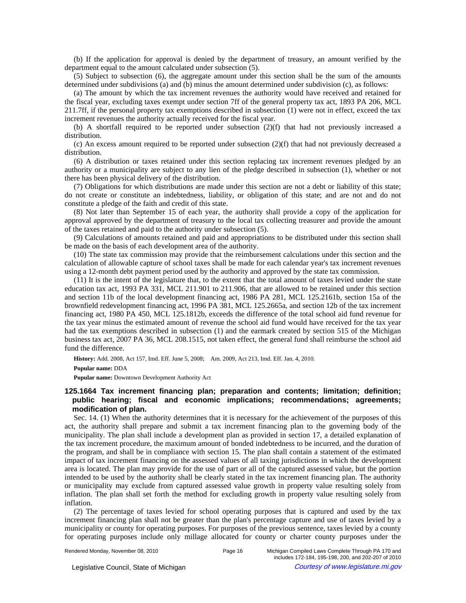(b) If the application for approval is denied by the department of treasury, an amount verified by the department equal to the amount calculated under subsection (5).

(5) Subject to subsection (6), the aggregate amount under this section shall be the sum of the amounts determined under subdivisions (a) and (b) minus the amount determined under subdivision (c), as follows:

(a) The amount by which the tax increment revenues the authority would have received and retained for the fiscal year, excluding taxes exempt under section 7ff of the general property tax act, 1893 PA 206, MCL 211.7ff, if the personal property tax exemptions described in subsection (1) were not in effect, exceed the tax increment revenues the authority actually received for the fiscal year.

(b) A shortfall required to be reported under subsection (2)(f) that had not previously increased a distribution.

(c) An excess amount required to be reported under subsection (2)(f) that had not previously decreased a distribution.

(6) A distribution or taxes retained under this section replacing tax increment revenues pledged by an authority or a municipality are subject to any lien of the pledge described in subsection (1), whether or not there has been physical delivery of the distribution.

(7) Obligations for which distributions are made under this section are not a debt or liability of this state; do not create or constitute an indebtedness, liability, or obligation of this state; and are not and do not constitute a pledge of the faith and credit of this state.

(8) Not later than September 15 of each year, the authority shall provide a copy of the application for approval approved by the department of treasury to the local tax collecting treasurer and provide the amount of the taxes retained and paid to the authority under subsection (5).

(9) Calculations of amounts retained and paid and appropriations to be distributed under this section shall be made on the basis of each development area of the authority.

(10) The state tax commission may provide that the reimbursement calculations under this section and the calculation of allowable capture of school taxes shall be made for each calendar year's tax increment revenues using a 12-month debt payment period used by the authority and approved by the state tax commission.

(11) It is the intent of the legislature that, to the extent that the total amount of taxes levied under the state education tax act, 1993 PA 331, MCL 211.901 to 211.906, that are allowed to be retained under this section and section 11b of the local development financing act, 1986 PA 281, MCL 125.2161b, section 15a of the brownfield redevelopment financing act, 1996 PA 381, MCL 125.2665a, and section 12b of the tax increment financing act, 1980 PA 450, MCL 125.1812b, exceeds the difference of the total school aid fund revenue for the tax year minus the estimated amount of revenue the school aid fund would have received for the tax year had the tax exemptions described in subsection (1) and the earmark created by section 515 of the Michigan business tax act, 2007 PA 36, MCL 208.1515, not taken effect, the general fund shall reimburse the school aid fund the difference.

History: Add. 2008, Act 157, Imd. Eff. June 5, 2008;- Am. 2009, Act 213, Imd. Eff. Jan. 4, 2010.

### **Popular name:** DDA

**Popular name:** Downtown Development Authority Act

# **125.1664 Tax increment financing plan; preparation and contents; limitation; definition; public hearing; fiscal and economic implications; recommendations; agreements; modification of plan.**

Sec. 14. (1) When the authority determines that it is necessary for the achievement of the purposes of this act, the authority shall prepare and submit a tax increment financing plan to the governing body of the municipality. The plan shall include a development plan as provided in section 17, a detailed explanation of the tax increment procedure, the maximum amount of bonded indebtedness to be incurred, and the duration of the program, and shall be in compliance with section 15. The plan shall contain a statement of the estimated impact of tax increment financing on the assessed values of all taxing jurisdictions in which the development area is located. The plan may provide for the use of part or all of the captured assessed value, but the portion intended to be used by the authority shall be clearly stated in the tax increment financing plan. The authority or municipality may exclude from captured assessed value growth in property value resulting solely from inflation. The plan shall set forth the method for excluding growth in property value resulting solely from inflation.

(2) The percentage of taxes levied for school operating purposes that is captured and used by the tax increment financing plan shall not be greater than the plan's percentage capture and use of taxes levied by a municipality or county for operating purposes. For purposes of the previous sentence, taxes levied by a county for operating purposes include only millage allocated for county or charter county purposes under the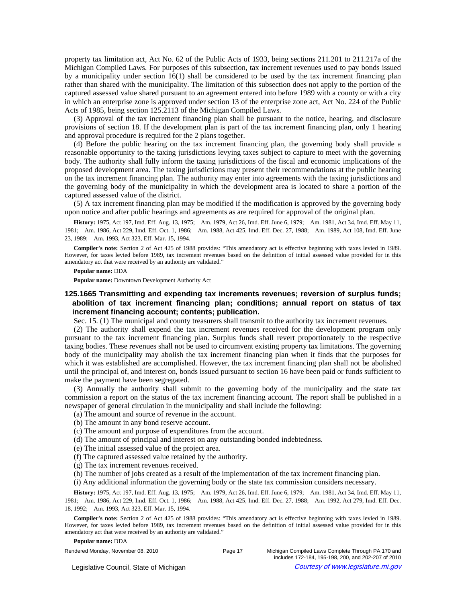property tax limitation act, Act No. 62 of the Public Acts of 1933, being sections 211.201 to 211.217a of the Michigan Compiled Laws. For purposes of this subsection, tax increment revenues used to pay bonds issued by a municipality under section 16(1) shall be considered to be used by the tax increment financing plan rather than shared with the municipality. The limitation of this subsection does not apply to the portion of the captured assessed value shared pursuant to an agreement entered into before 1989 with a county or with a city in which an enterprise zone is approved under section 13 of the enterprise zone act, Act No. 224 of the Public Acts of 1985, being section 125.2113 of the Michigan Compiled Laws.

(3) Approval of the tax increment financing plan shall be pursuant to the notice, hearing, and disclosure provisions of section 18. If the development plan is part of the tax increment financing plan, only 1 hearing and approval procedure is required for the 2 plans together.

(4) Before the public hearing on the tax increment financing plan, the governing body shall provide a reasonable opportunity to the taxing jurisdictions levying taxes subject to capture to meet with the governing body. The authority shall fully inform the taxing jurisdictions of the fiscal and economic implications of the proposed development area. The taxing jurisdictions may present their recommendations at the public hearing on the tax increment financing plan. The authority may enter into agreements with the taxing jurisdictions and the governing body of the municipality in which the development area is located to share a portion of the captured assessed value of the district.

(5) A tax increment financing plan may be modified if the modification is approved by the governing body upon notice and after public hearings and agreements as are required for approval of the original plan.

History: 1975, Act 197, Imd. Eff. Aug. 13, 1975;—Am. 1979, Act 26, Imd. Eff. June 6, 1979;—Am. 1981, Act 34, Imd. Eff. May 11, 1981;-Am. 1986, Act 229, Imd. Eff. Oct. 1, 1986;-Am. 1988, Act 425, Imd. Eff. Dec. 27, 1988;-Am. 1989, Act 108, Imd. Eff. June 23, 1989; - Am. 1993, Act 323, Eff. Mar. 15, 1994.

**Compiler's note:** Section 2 of Act 425 of 1988 provides: "This amendatory act is effective beginning with taxes levied in 1989. However, for taxes levied before 1989, tax increment revenues based on the definition of initial assessed value provided for in this amendatory act that were received by an authority are validated."

#### **Popular name:** DDA

**Popular name:** Downtown Development Authority Act

# **125.1665 Transmitting and expending tax increments revenues; reversion of surplus funds; abolition of tax increment financing plan; conditions; annual report on status of tax increment financing account; contents; publication.**

Sec. 15. (1) The municipal and county treasurers shall transmit to the authority tax increment revenues.

(2) The authority shall expend the tax increment revenues received for the development program only pursuant to the tax increment financing plan. Surplus funds shall revert proportionately to the respective taxing bodies. These revenues shall not be used to circumvent existing property tax limitations. The governing body of the municipality may abolish the tax increment financing plan when it finds that the purposes for which it was established are accomplished. However, the tax increment financing plan shall not be abolished until the principal of, and interest on, bonds issued pursuant to section 16 have been paid or funds sufficient to make the payment have been segregated.

(3) Annually the authority shall submit to the governing body of the municipality and the state tax commission a report on the status of the tax increment financing account. The report shall be published in a newspaper of general circulation in the municipality and shall include the following:

- (a) The amount and source of revenue in the account.
- (b) The amount in any bond reserve account.
- (c) The amount and purpose of expenditures from the account.
- (d) The amount of principal and interest on any outstanding bonded indebtedness.
- (e) The initial assessed value of the project area.
- (f) The captured assessed value retained by the authority.
- (g) The tax increment revenues received.
- (h) The number of jobs created as a result of the implementation of the tax increment financing plan.
- (i) Any additional information the governing body or the state tax commission considers necessary.

History: 1975, Act 197, Imd. Eff. Aug. 13, 1975;—Am. 1979, Act 26, Imd. Eff. June 6, 1979;—Am. 1981, Act 34, Imd. Eff. May 11, 1981;—Am. 1986, Act 229, Imd. Eff. Oct. 1, 1986;—Am. 1988, Act 425, Imd. Eff. Dec. 27, 1988;—Am. 1992, Act 279, Imd. Eff. Dec. 18, 1992; - Am. 1993, Act 323, Eff. Mar. 15, 1994.

**Compiler's note:** Section 2 of Act 425 of 1988 provides: "This amendatory act is effective beginning with taxes levied in 1989. However, for taxes levied before 1989, tax increment revenues based on the definition of initial assessed value provided for in this amendatory act that were received by an authority are validated."

#### **Popular name:** DDA

Rendered Monday, November 08, 2010 Page 17 Michigan Compiled Laws Complete Through PA 170 and includes 172-184, 195-198, 200, and 202-207 of 2010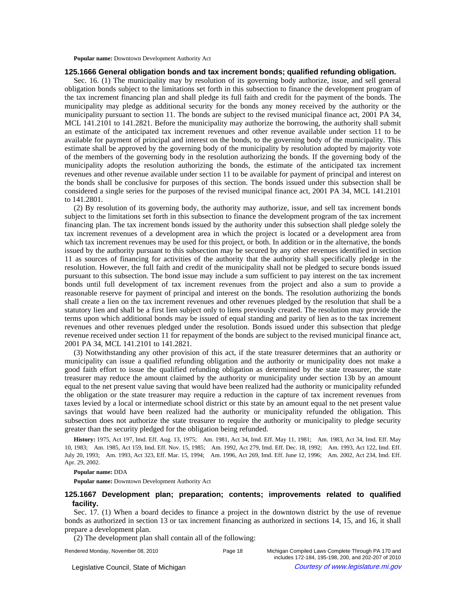**Popular name:** Downtown Development Authority Act

## **125.1666 General obligation bonds and tax increment bonds; qualified refunding obligation.**

Sec. 16. (1) The municipality may by resolution of its governing body authorize, issue, and sell general obligation bonds subject to the limitations set forth in this subsection to finance the development program of the tax increment financing plan and shall pledge its full faith and credit for the payment of the bonds. The municipality may pledge as additional security for the bonds any money received by the authority or the municipality pursuant to section 11. The bonds are subject to the revised municipal finance act, 2001 PA 34, MCL 141.2101 to 141.2821. Before the municipality may authorize the borrowing, the authority shall submit an estimate of the anticipated tax increment revenues and other revenue available under section 11 to be available for payment of principal and interest on the bonds, to the governing body of the municipality. This estimate shall be approved by the governing body of the municipality by resolution adopted by majority vote of the members of the governing body in the resolution authorizing the bonds. If the governing body of the municipality adopts the resolution authorizing the bonds, the estimate of the anticipated tax increment revenues and other revenue available under section 11 to be available for payment of principal and interest on the bonds shall be conclusive for purposes of this section. The bonds issued under this subsection shall be considered a single series for the purposes of the revised municipal finance act, 2001 PA 34, MCL 141.2101 to 141.2801.

(2) By resolution of its governing body, the authority may authorize, issue, and sell tax increment bonds subject to the limitations set forth in this subsection to finance the development program of the tax increment financing plan. The tax increment bonds issued by the authority under this subsection shall pledge solely the tax increment revenues of a development area in which the project is located or a development area from which tax increment revenues may be used for this project, or both. In addition or in the alternative, the bonds issued by the authority pursuant to this subsection may be secured by any other revenues identified in section 11 as sources of financing for activities of the authority that the authority shall specifically pledge in the resolution. However, the full faith and credit of the municipality shall not be pledged to secure bonds issued pursuant to this subsection. The bond issue may include a sum sufficient to pay interest on the tax increment bonds until full development of tax increment revenues from the project and also a sum to provide a reasonable reserve for payment of principal and interest on the bonds. The resolution authorizing the bonds shall create a lien on the tax increment revenues and other revenues pledged by the resolution that shall be a statutory lien and shall be a first lien subject only to liens previously created. The resolution may provide the terms upon which additional bonds may be issued of equal standing and parity of lien as to the tax increment revenues and other revenues pledged under the resolution. Bonds issued under this subsection that pledge revenue received under section 11 for repayment of the bonds are subject to the revised municipal finance act, 2001 PA 34, MCL 141.2101 to 141.2821.

(3) Notwithstanding any other provision of this act, if the state treasurer determines that an authority or municipality can issue a qualified refunding obligation and the authority or municipality does not make a good faith effort to issue the qualified refunding obligation as determined by the state treasurer, the state treasurer may reduce the amount claimed by the authority or municipality under section 13b by an amount equal to the net present value saving that would have been realized had the authority or municipality refunded the obligation or the state treasurer may require a reduction in the capture of tax increment revenues from taxes levied by a local or intermediate school district or this state by an amount equal to the net present value savings that would have been realized had the authority or municipality refunded the obligation. This subsection does not authorize the state treasurer to require the authority or municipality to pledge security greater than the security pledged for the obligation being refunded.

History: 1975, Act 197, Imd. Eff. Aug. 13, 1975;--Am. 1981, Act 34, Imd. Eff. May 11, 1981;--Am. 1983, Act 34, Imd. Eff. May 10, 1983;-Am. 1985, Act 159, Imd. Eff. Nov. 15, 1985;-Am. 1992, Act 279, Imd. Eff. Dec. 18, 1992;-Am. 1993, Act 122, Imd. Eff. July 20, 1993;-Am. 1993, Act 323, Eff. Mar. 15, 1994;-Am. 1996, Act 269, Imd. Eff. June 12, 1996;-Am. 2002, Act 234, Imd. Eff. Apr. 29, 2002.

### **Popular name:** DDA

**Popular name:** Downtown Development Authority Act

# **125.1667 Development plan; preparation; contents; improvements related to qualified facility.**

Sec. 17. (1) When a board decides to finance a project in the downtown district by the use of revenue bonds as authorized in section 13 or tax increment financing as authorized in sections 14, 15, and 16, it shall prepare a development plan.

(2) The development plan shall contain all of the following: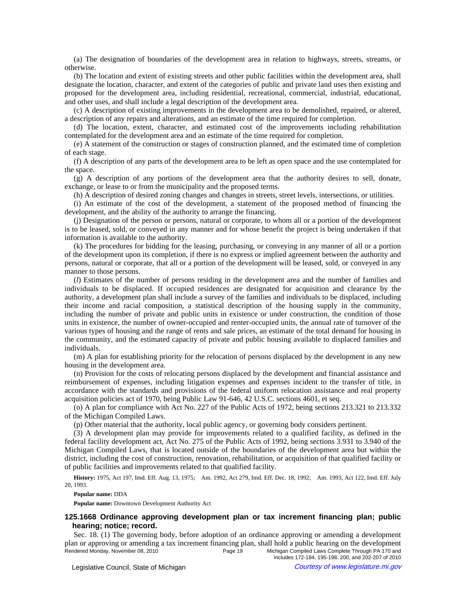(a) The designation of boundaries of the development area in relation to highways, streets, streams, or otherwise.

(b) The location and extent of existing streets and other public facilities within the development area, shall designate the location, character, and extent of the categories of public and private land uses then existing and proposed for the development area, including residential, recreational, commercial, industrial, educational, and other uses, and shall include a legal description of the development area.

(c) A description of existing improvements in the development area to be demolished, repaired, or altered, a description of any repairs and alterations, and an estimate of the time required for completion.

(d) The location, extent, character, and estimated cost of the improvements including rehabilitation contemplated for the development area and an estimate of the time required for completion.

(e) A statement of the construction or stages of construction planned, and the estimated time of completion of each stage.

(f) A description of any parts of the development area to be left as open space and the use contemplated for the space.

(g) A description of any portions of the development area that the authority desires to sell, donate, exchange, or lease to or from the municipality and the proposed terms.

(h) A description of desired zoning changes and changes in streets, street levels, intersections, or utilities.

(i) An estimate of the cost of the development, a statement of the proposed method of financing the development, and the ability of the authority to arrange the financing.

(j) Designation of the person or persons, natural or corporate, to whom all or a portion of the development is to be leased, sold, or conveyed in any manner and for whose benefit the project is being undertaken if that information is available to the authority.

(k) The procedures for bidding for the leasing, purchasing, or conveying in any manner of all or a portion of the development upon its completion, if there is no express or implied agreement between the authority and persons, natural or corporate, that all or a portion of the development will be leased, sold, or conveyed in any manner to those persons.

(*l*) Estimates of the number of persons residing in the development area and the number of families and individuals to be displaced. If occupied residences are designated for acquisition and clearance by the authority, a development plan shall include a survey of the families and individuals to be displaced, including their income and racial composition, a statistical description of the housing supply in the community, including the number of private and public units in existence or under construction, the condition of those units in existence, the number of owner-occupied and renter-occupied units, the annual rate of turnover of the various types of housing and the range of rents and sale prices, an estimate of the total demand for housing in the community, and the estimated capacity of private and public housing available to displaced families and individuals.

(m) A plan for establishing priority for the relocation of persons displaced by the development in any new housing in the development area.

(n) Provision for the costs of relocating persons displaced by the development and financial assistance and reimbursement of expenses, including litigation expenses and expenses incident to the transfer of title, in accordance with the standards and provisions of the federal uniform relocation assistance and real property acquisition policies act of 1970, being Public Law 91-646, 42 U.S.C. sections 4601, et seq.

(o) A plan for compliance with Act No. 227 of the Public Acts of 1972, being sections 213.321 to 213.332 of the Michigan Compiled Laws.

(p) Other material that the authority, local public agency, or governing body considers pertinent.

(3) A development plan may provide for improvements related to a qualified facility, as defined in the federal facility development act, Act No. 275 of the Public Acts of 1992, being sections 3.931 to 3.940 of the Michigan Compiled Laws, that is located outside of the boundaries of the development area but within the district, including the cost of construction, renovation, rehabilitation, or acquisition of that qualified facility or of public facilities and improvements related to that qualified facility.

History: 1975, Act 197, Imd. Eff. Aug. 13, 1975;—Am. 1992, Act 279, Imd. Eff. Dec. 18, 1992;—Am. 1993, Act 122, Imd. Eff. July 20, 1993.

**Popular name:** DDA

**Popular name:** Downtown Development Authority Act

## **125.1668 Ordinance approving development plan or tax increment financing plan; public hearing; notice; record.**

Sec. 18. (1) The governing body, before adoption of an ordinance approving or amending a development plan or approving or amending a tax increment financing plan, shall hold a public hearing on the development Rendered Monday, November 08, 2010 Page 19 Michigan Compiled Laws Complete Through PA 170 and includes 172-184, 195-198, 200, and 202-207 of 2010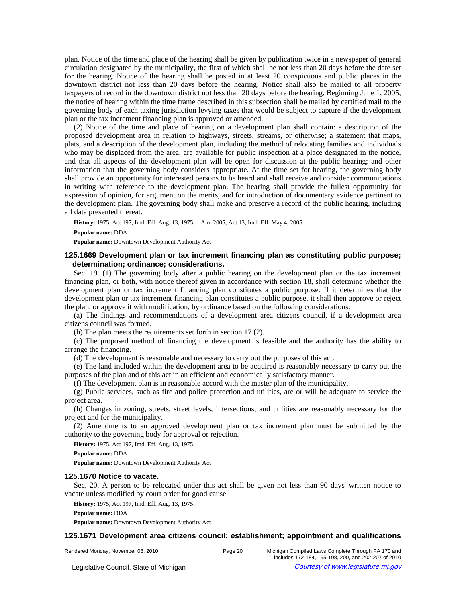plan. Notice of the time and place of the hearing shall be given by publication twice in a newspaper of general circulation designated by the municipality, the first of which shall be not less than 20 days before the date set for the hearing. Notice of the hearing shall be posted in at least 20 conspicuous and public places in the downtown district not less than 20 days before the hearing. Notice shall also be mailed to all property taxpayers of record in the downtown district not less than 20 days before the hearing. Beginning June 1, 2005, the notice of hearing within the time frame described in this subsection shall be mailed by certified mail to the governing body of each taxing jurisdiction levying taxes that would be subject to capture if the development plan or the tax increment financing plan is approved or amended.

(2) Notice of the time and place of hearing on a development plan shall contain: a description of the proposed development area in relation to highways, streets, streams, or otherwise; a statement that maps, plats, and a description of the development plan, including the method of relocating families and individuals who may be displaced from the area, are available for public inspection at a place designated in the notice, and that all aspects of the development plan will be open for discussion at the public hearing; and other information that the governing body considers appropriate. At the time set for hearing, the governing body shall provide an opportunity for interested persons to be heard and shall receive and consider communications in writing with reference to the development plan. The hearing shall provide the fullest opportunity for expression of opinion, for argument on the merits, and for introduction of documentary evidence pertinent to the development plan. The governing body shall make and preserve a record of the public hearing, including all data presented thereat.

History: 1975, Act 197, Imd. Eff. Aug. 13, 1975;-- Am. 2005, Act 13, Imd. Eff. May 4, 2005.

#### **Popular name:** DDA

**Popular name:** Downtown Development Authority Act

# **125.1669 Development plan or tax increment financing plan as constituting public purpose; determination; ordinance; considerations.**

Sec. 19. (1) The governing body after a public hearing on the development plan or the tax increment financing plan, or both, with notice thereof given in accordance with section 18, shall determine whether the development plan or tax increment financing plan constitutes a public purpose. If it determines that the development plan or tax increment financing plan constitutes a public purpose, it shall then approve or reject the plan, or approve it with modification, by ordinance based on the following considerations:

(a) The findings and recommendations of a development area citizens council, if a development area citizens council was formed.

(b) The plan meets the requirements set forth in section 17 (2).

(c) The proposed method of financing the development is feasible and the authority has the ability to arrange the financing.

(d) The development is reasonable and necessary to carry out the purposes of this act.

(e) The land included within the development area to be acquired is reasonably necessary to carry out the purposes of the plan and of this act in an efficient and economically satisfactory manner.

(f) The development plan is in reasonable accord with the master plan of the municipality.

(g) Public services, such as fire and police protection and utilities, are or will be adequate to service the project area.

(h) Changes in zoning, streets, street levels, intersections, and utilities are reasonably necessary for the project and for the municipality.

(2) Amendments to an approved development plan or tax increment plan must be submitted by the authority to the governing body for approval or rejection.

**History:** 1975, Act 197, Imd. Eff. Aug. 13, 1975.

**Popular name:** DDA

**Popular name:** Downtown Development Authority Act

## **125.1670 Notice to vacate.**

Sec. 20. A person to be relocated under this act shall be given not less than 90 days' written notice to vacate unless modified by court order for good cause.

**History:** 1975, Act 197, Imd. Eff. Aug. 13, 1975.

**Popular name:** DDA

**Popular name:** Downtown Development Authority Act

## **125.1671 Development area citizens council; establishment; appointment and qualifications**

```
Rendered Monday, November 08, 2010 Page 20 Michigan Compiled Laws Complete Through PA 170 and
```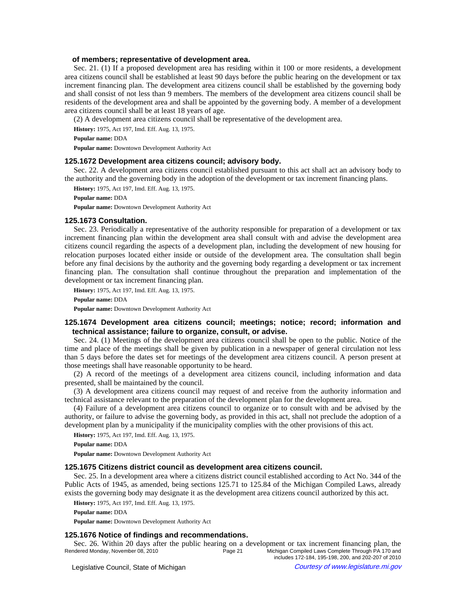## **of members; representative of development area.**

Sec. 21. (1) If a proposed development area has residing within it 100 or more residents, a development area citizens council shall be established at least 90 days before the public hearing on the development or tax increment financing plan. The development area citizens council shall be established by the governing body and shall consist of not less than 9 members. The members of the development area citizens council shall be residents of the development area and shall be appointed by the governing body. A member of a development area citizens council shall be at least 18 years of age.

(2) A development area citizens council shall be representative of the development area.

**History:** 1975, Act 197, Imd. Eff. Aug. 13, 1975.

**Popular name:** DDA

**Popular name:** Downtown Development Authority Act

## **125.1672 Development area citizens council; advisory body.**

Sec. 22. A development area citizens council established pursuant to this act shall act an advisory body to the authority and the governing body in the adoption of the development or tax increment financing plans.

**History:** 1975, Act 197, Imd. Eff. Aug. 13, 1975.

**Popular name:** DDA

**Popular name:** Downtown Development Authority Act

## **125.1673 Consultation.**

Sec. 23. Periodically a representative of the authority responsible for preparation of a development or tax increment financing plan within the development area shall consult with and advise the development area citizens council regarding the aspects of a development plan, including the development of new housing for relocation purposes located either inside or outside of the development area. The consultation shall begin before any final decisions by the authority and the governing body regarding a development or tax increment financing plan. The consultation shall continue throughout the preparation and implementation of the development or tax increment financing plan.

**History:** 1975, Act 197, Imd. Eff. Aug. 13, 1975.

**Popular name:** DDA

**Popular name:** Downtown Development Authority Act

# **125.1674 Development area citizens council; meetings; notice; record; information and technical assistance; failure to organize, consult, or advise.**

Sec. 24. (1) Meetings of the development area citizens council shall be open to the public. Notice of the time and place of the meetings shall be given by publication in a newspaper of general circulation not less than 5 days before the dates set for meetings of the development area citizens council. A person present at those meetings shall have reasonable opportunity to be heard.

(2) A record of the meetings of a development area citizens council, including information and data presented, shall be maintained by the council.

(3) A development area citizens council may request of and receive from the authority information and technical assistance relevant to the preparation of the development plan for the development area.

(4) Failure of a development area citizens council to organize or to consult with and be advised by the authority, or failure to advise the governing body, as provided in this act, shall not preclude the adoption of a development plan by a municipality if the municipality complies with the other provisions of this act.

**History:** 1975, Act 197, Imd. Eff. Aug. 13, 1975.

**Popular name:** DDA

**Popular name:** Downtown Development Authority Act

## **125.1675 Citizens district council as development area citizens council.**

Sec. 25. In a development area where a citizens district council established according to Act No. 344 of the Public Acts of 1945, as amended, being sections 125.71 to 125.84 of the Michigan Compiled Laws, already exists the governing body may designate it as the development area citizens council authorized by this act.

**History:** 1975, Act 197, Imd. Eff. Aug. 13, 1975.

**Popular name:** DDA

**Popular name:** Downtown Development Authority Act

## **125.1676 Notice of findings and recommendations.**

Sec. 26. Within 20 days after the public hearing on a development or tax increment financing plan, the Rendered Monday, November 08, 2010<br>Page 21 Michigan Compiled Laws Complete Through PA 170 and Michigan Compiled Laws Complete Through PA 170 and includes 172-184, 195-198, 200, and 202-207 of 2010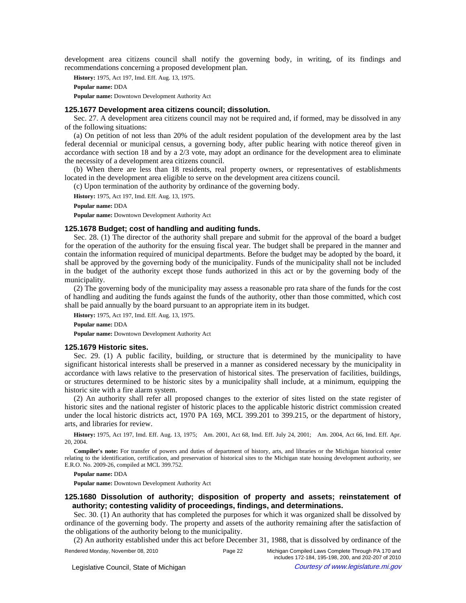development area citizens council shall notify the governing body, in writing, of its findings and recommendations concerning a proposed development plan.

**History:** 1975, Act 197, Imd. Eff. Aug. 13, 1975.

**Popular name:** DDA

**Popular name:** Downtown Development Authority Act

## **125.1677 Development area citizens council; dissolution.**

Sec. 27. A development area citizens council may not be required and, if formed, may be dissolved in any of the following situations:

(a) On petition of not less than 20% of the adult resident population of the development area by the last federal decennial or municipal census, a governing body, after public hearing with notice thereof given in accordance with section 18 and by a 2/3 vote, may adopt an ordinance for the development area to eliminate the necessity of a development area citizens council.

(b) When there are less than 18 residents, real property owners, or representatives of establishments located in the development area eligible to serve on the development area citizens council.

(c) Upon termination of the authority by ordinance of the governing body.

**History:** 1975, Act 197, Imd. Eff. Aug. 13, 1975.

**Popular name:** DDA

**Popular name:** Downtown Development Authority Act

## **125.1678 Budget; cost of handling and auditing funds.**

Sec. 28. (1) The director of the authority shall prepare and submit for the approval of the board a budget for the operation of the authority for the ensuing fiscal year. The budget shall be prepared in the manner and contain the information required of municipal departments. Before the budget may be adopted by the board, it shall be approved by the governing body of the municipality. Funds of the municipality shall not be included in the budget of the authority except those funds authorized in this act or by the governing body of the municipality.

(2) The governing body of the municipality may assess a reasonable pro rata share of the funds for the cost of handling and auditing the funds against the funds of the authority, other than those committed, which cost shall be paid annually by the board pursuant to an appropriate item in its budget.

**History:** 1975, Act 197, Imd. Eff. Aug. 13, 1975. **Popular name:** DDA

**Popular name:** Downtown Development Authority Act

## **125.1679 Historic sites.**

Sec. 29. (1) A public facility, building, or structure that is determined by the municipality to have significant historical interests shall be preserved in a manner as considered necessary by the municipality in accordance with laws relative to the preservation of historical sites. The preservation of facilities, buildings, or structures determined to be historic sites by a municipality shall include, at a minimum, equipping the historic site with a fire alarm system.

(2) An authority shall refer all proposed changes to the exterior of sites listed on the state register of historic sites and the national register of historic places to the applicable historic district commission created under the local historic districts act, 1970 PA 169, MCL 399.201 to 399.215, or the department of history, arts, and libraries for review.

History: 1975, Act 197, Imd. Eff. Aug. 13, 1975;--Am. 2001, Act 68, Imd. Eff. July 24, 2001;--Am. 2004, Act 66, Imd. Eff. Apr. 20, 2004.

**Compiler's note:** For transfer of powers and duties of department of history, arts, and libraries or the Michigan historical center relating to the identification, certification, and preservation of historical sites to the Michigan state housing development authority, see E.R.O. No. 2009-26, compiled at MCL 399.752.

**Popular name:** DDA

**Popular name:** Downtown Development Authority Act

# **125.1680 Dissolution of authority; disposition of property and assets; reinstatement of authority; contesting validity of proceedings, findings, and determinations.**

Sec. 30. (1) An authority that has completed the purposes for which it was organized shall be dissolved by ordinance of the governing body. The property and assets of the authority remaining after the satisfaction of the obligations of the authority belong to the municipality.

(2) An authority established under this act before December 31, 1988, that is dissolved by ordinance of the

Rendered Monday, November 08, 2010 Page 22 Michigan Compiled Laws Complete Through PA 170 and

includes 172-184, 195-198, 200, and 202-207 of 2010